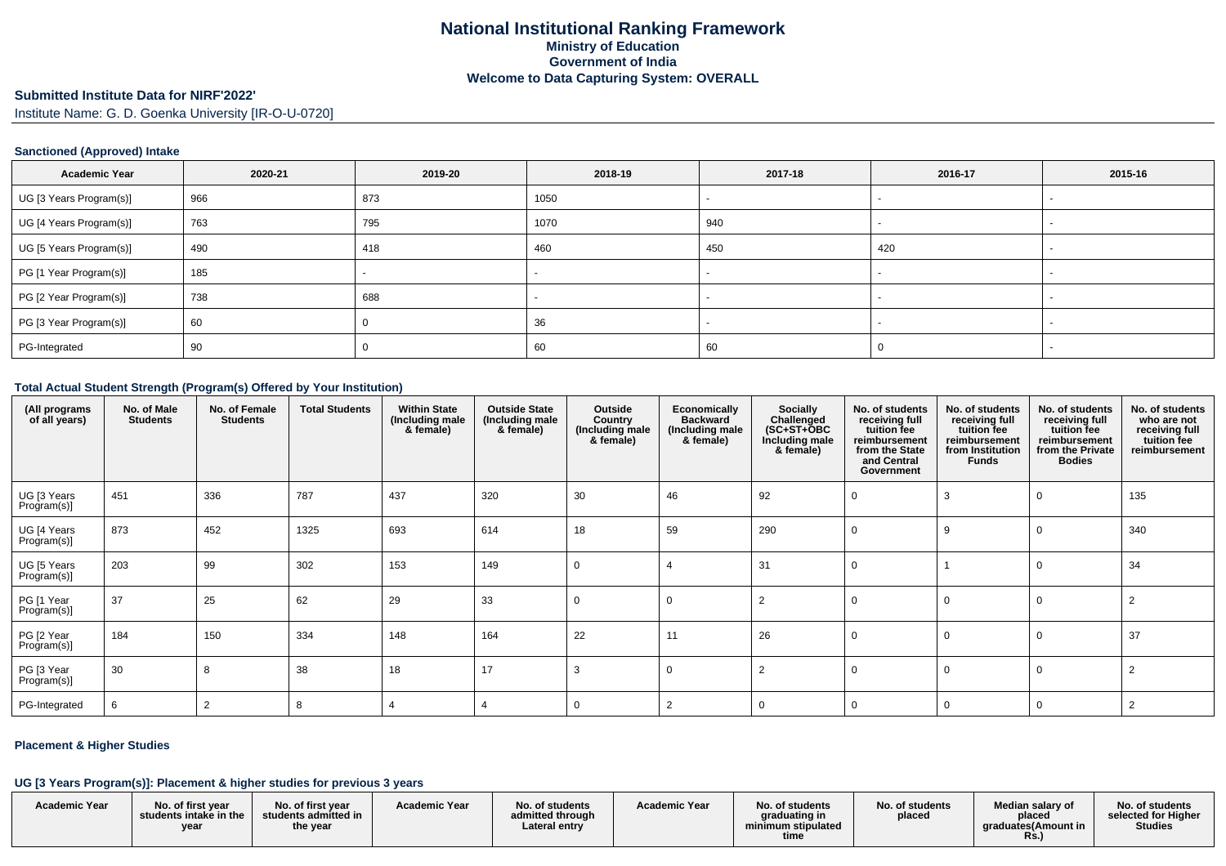#### **Submitted Institute Data for NIRF'2022'**

Institute Name: G. D. Goenka University [IR-O-U-0720]

#### **Sanctioned (Approved) Intake**

| <b>Academic Year</b>    | 2020-21 | 2019-20 | 2018-19 | 2017-18 | 2016-17 | 2015-16 |
|-------------------------|---------|---------|---------|---------|---------|---------|
| UG [3 Years Program(s)] | 966     | 873     | 1050    |         |         |         |
| UG [4 Years Program(s)] | 763     | 795     | 1070    | 940     |         |         |
| UG [5 Years Program(s)] | 490     | 418     | 460     | 450     | 420     |         |
| PG [1 Year Program(s)]  | 185     |         |         |         |         |         |
| PG [2 Year Program(s)]  | 738     | 688     |         |         |         |         |
| PG [3 Year Program(s)]  | 60      |         | 36      |         |         |         |
| PG-Integrated           | 90      |         | 60      | 60      |         |         |

#### **Total Actual Student Strength (Program(s) Offered by Your Institution)**

| (All programs<br>of all years) | No. of Male<br><b>Students</b> | No. of Female<br><b>Students</b> | <b>Total Students</b> | <b>Within State</b><br>(Including male<br>& female) | <b>Outside State</b><br>(Including male<br>& female) | Outside<br>Country<br>(Including male<br>& female) | Economically<br><b>Backward</b><br>(Including male<br>& female) | <b>Socially</b><br>Challenged<br>$(SC+ST+OBC$<br>Including male<br>& female) | No. of students<br>receiving full<br>tuition fee<br>reimbursement<br>from the State<br>and Central<br>Government | No. of students<br>receiving full<br>tuition fee<br>reimbursement<br>from Institution<br><b>Funds</b> | No. of students<br>receiving full<br>tuition fee<br>reimbursement<br>from the Private<br><b>Bodies</b> | No. of students<br>who are not<br>receiving full<br>tuition fee<br>reimbursement |
|--------------------------------|--------------------------------|----------------------------------|-----------------------|-----------------------------------------------------|------------------------------------------------------|----------------------------------------------------|-----------------------------------------------------------------|------------------------------------------------------------------------------|------------------------------------------------------------------------------------------------------------------|-------------------------------------------------------------------------------------------------------|--------------------------------------------------------------------------------------------------------|----------------------------------------------------------------------------------|
| UG [3 Years<br>Program(s)]     | 451                            | 336                              | 787                   | 437                                                 | 320                                                  | 30                                                 | 46                                                              | 92                                                                           |                                                                                                                  |                                                                                                       |                                                                                                        | 135                                                                              |
| UG [4 Years<br>Program(s)]     | 873                            | 452                              | 1325                  | 693                                                 | 614                                                  | 18                                                 | 59                                                              | 290                                                                          |                                                                                                                  |                                                                                                       |                                                                                                        | 340                                                                              |
| UG [5 Years<br>Program(s)]     | 203                            | 99                               | 302                   | 153                                                 | 149                                                  | 0                                                  |                                                                 | 31                                                                           |                                                                                                                  |                                                                                                       |                                                                                                        | 34                                                                               |
| PG [1 Year<br>Program(s)]      | 37                             | 25                               | 62                    | 29                                                  | 33                                                   | 0                                                  | $\mathbf 0$                                                     | $\overline{2}$                                                               |                                                                                                                  |                                                                                                       |                                                                                                        | $\overline{2}$                                                                   |
| PG [2 Year<br>Program(s)]      | 184                            | 150                              | 334                   | 148                                                 | 164                                                  | 22                                                 | 11                                                              | 26                                                                           |                                                                                                                  |                                                                                                       |                                                                                                        | 37                                                                               |
| PG [3 Year<br>Program(s)]      | 30                             | 8                                | 38                    | 18                                                  | 17                                                   | 3                                                  | $\Omega$                                                        |                                                                              |                                                                                                                  |                                                                                                       |                                                                                                        |                                                                                  |
| PG-Integrated                  | 6                              | 2                                | 8                     | 4                                                   |                                                      | 0                                                  | $\overline{2}$                                                  | 0                                                                            |                                                                                                                  |                                                                                                       | 0                                                                                                      | -2                                                                               |

### **Placement & Higher Studies**

#### **UG [3 Years Program(s)]: Placement & higher studies for previous 3 years**

| <b>Academic Year</b> | No. of first vear<br>students intake in the<br>yea | No. of first year<br>students admitted in<br>the year | <b>Academic Year</b> | No. of students<br>admitted through<br>∟ateral entry | <b>Academic Year</b> | No. of students<br>graduating in<br>minimum stipulated<br>time | No. of students<br>placed | Median salary of<br>placed<br>araduates(Amount in<br><b>Rs.,</b> | No. of students<br>selected for Higher<br><b>Studies</b> |
|----------------------|----------------------------------------------------|-------------------------------------------------------|----------------------|------------------------------------------------------|----------------------|----------------------------------------------------------------|---------------------------|------------------------------------------------------------------|----------------------------------------------------------|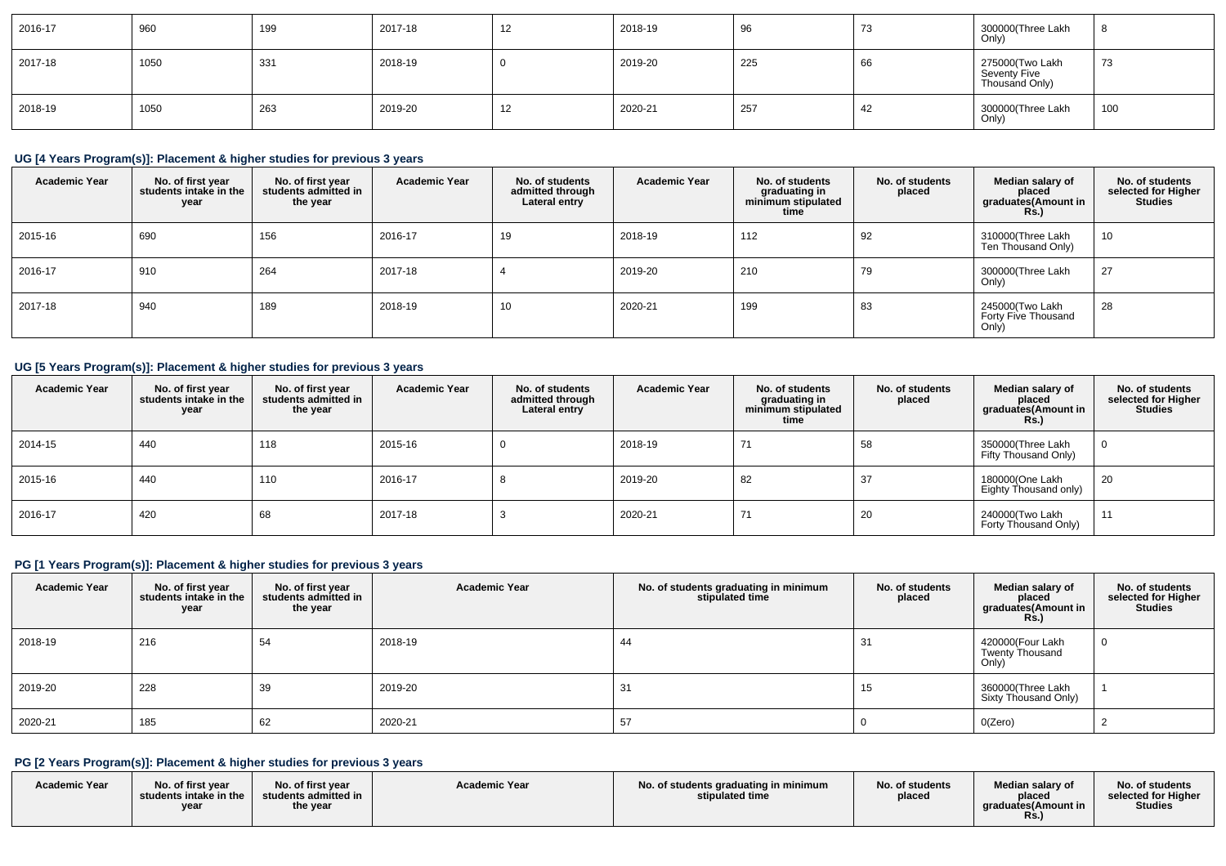| 2016-17 | 960  | 199 | 2017-18 | -12 | 2018-19 | 96  | 70<br>د ، | 300000(Three Lakh<br>Only)                        |     |
|---------|------|-----|---------|-----|---------|-----|-----------|---------------------------------------------------|-----|
| 2017-18 | 1050 | 331 | 2018-19 |     | 2019-20 | 225 | 66        | 275000(Two Lakh<br>Seventy Five<br>Thousand Only) | 73  |
| 2018-19 | 1050 | 263 | 2019-20 | -12 | 2020-21 | 257 | 42        | 300000(Three Lakh<br>Only)                        | 100 |

## **UG [4 Years Program(s)]: Placement & higher studies for previous 3 years**

| <b>Academic Year</b> | No. of first year<br>students intake in the<br>year | No. of first year<br>students admitted in<br>the year | <b>Academic Year</b> | No. of students<br>admitted through<br>Lateral entry | <b>Academic Year</b> | No. of students<br>graduating in<br>minimum stipulated<br>time | No. of students<br>placed | Median salary of<br>placed<br>graduates(Amount in<br>Rs.) | No. of students<br>selected for Higher<br><b>Studies</b> |
|----------------------|-----------------------------------------------------|-------------------------------------------------------|----------------------|------------------------------------------------------|----------------------|----------------------------------------------------------------|---------------------------|-----------------------------------------------------------|----------------------------------------------------------|
| 2015-16              | 690                                                 | 156                                                   | 2016-17              | 19                                                   | 2018-19              | 112                                                            | 92                        | 310000(Three Lakh<br>Ten Thousand Only)                   | 10                                                       |
| 2016-17              | 910                                                 | 264                                                   | 2017-18              |                                                      | 2019-20              | 210                                                            | 79                        | 300000(Three Lakh<br>Only)                                | 27                                                       |
| 2017-18              | 940                                                 | 189                                                   | 2018-19              | 10                                                   | 2020-21              | 199                                                            | 83                        | 245000(Two Lakh<br>Forty Five Thousand<br>Only)           | 28                                                       |

# **UG [5 Years Program(s)]: Placement & higher studies for previous 3 years**

| <b>Academic Year</b> | No. of first year<br>students intake in the<br>year | No. of first vear<br>students admitted in<br>the year | <b>Academic Year</b> | No. of students<br>admitted through<br>Lateral entry | <b>Academic Year</b> | No. of students<br>graduating in<br>minimum stipulated<br>time | No. of students<br>placed | Median salary of<br>placed<br>graduates(Amount in<br><b>Rs.)</b> | No. of students<br>selected for Higher<br><b>Studies</b> |
|----------------------|-----------------------------------------------------|-------------------------------------------------------|----------------------|------------------------------------------------------|----------------------|----------------------------------------------------------------|---------------------------|------------------------------------------------------------------|----------------------------------------------------------|
| 2014-15              | 440                                                 | 118                                                   | 2015-16              | 0                                                    | 2018-19              | 74                                                             | 58                        | 350000(Three Lakh<br>Fifty Thousand Only)                        |                                                          |
| 2015-16              | 440                                                 | 110                                                   | 2016-17              | $\circ$                                              | 2019-20              | 82                                                             | 37                        | 180000(One Lakh<br>Eighty Thousand only)                         | 20                                                       |
| 2016-17              | 420                                                 | 68                                                    | 2017-18              | رب                                                   | 2020-21              | 7,                                                             | 20                        | 240000(Two Lakh<br>Forty Thousand Only)                          | 11                                                       |

# **PG [1 Years Program(s)]: Placement & higher studies for previous 3 years**

| <b>Academic Year</b> | No. of first year<br>students intake in the<br>year | No. of first year<br>students admitted in<br>the year | <b>Academic Year</b> | No. of students graduating in minimum<br>stipulated time | No. of students<br>placed | Median salary of<br>placed<br>graduates(Amount in<br>Rs. | No. of students<br>selected for Higher<br><b>Studies</b> |
|----------------------|-----------------------------------------------------|-------------------------------------------------------|----------------------|----------------------------------------------------------|---------------------------|----------------------------------------------------------|----------------------------------------------------------|
| 2018-19              | 216                                                 | 54                                                    | 2018-19              | 44                                                       | 31                        | 420000(Four Lakh<br><b>Twenty Thousand</b><br>Only)      |                                                          |
| 2019-20              | 228                                                 | 39                                                    | 2019-20              | 31                                                       | 15                        | 360000(Three Lakh<br>Sixty Thousand Only)                |                                                          |
| 2020-21              | 185                                                 | 62                                                    | 2020-21              | 57                                                       |                           | O(Zero)                                                  |                                                          |

## **PG [2 Years Program(s)]: Placement & higher studies for previous 3 years**

| <b>Academic Year</b> | No. of first year<br>students intake in the<br>year | No. of first year<br>students admitted in<br>the year | <b>Academic Year</b> | No. of students graduating in minimum<br>stipulated time | No. of students<br>placed | Median salary of<br>placed<br>araduates(Amount in<br><b>Rs.</b> ) | No. of students<br>selected for Higher<br><b>Studies</b> |
|----------------------|-----------------------------------------------------|-------------------------------------------------------|----------------------|----------------------------------------------------------|---------------------------|-------------------------------------------------------------------|----------------------------------------------------------|
|----------------------|-----------------------------------------------------|-------------------------------------------------------|----------------------|----------------------------------------------------------|---------------------------|-------------------------------------------------------------------|----------------------------------------------------------|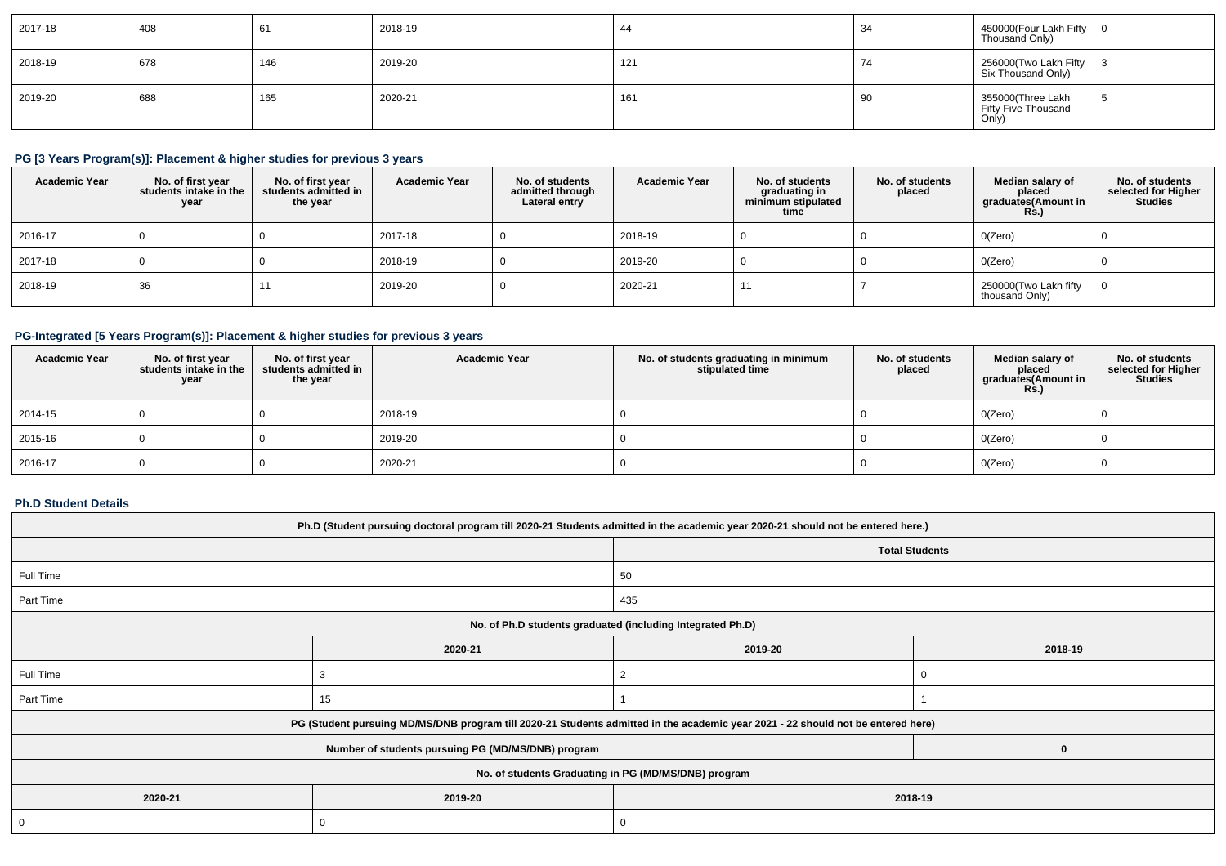| 2017-18 | 408 | 61  | 2018-19 | 44  | 34                             | 450000(Four Lakh Fifty   0<br>Thousand Only)      |  |
|---------|-----|-----|---------|-----|--------------------------------|---------------------------------------------------|--|
| 2018-19 | 678 | 146 | 2019-20 | 121 | $\overline{\phantom{a}}$<br>74 | 256000(Two Lakh Fifty 3<br>Six Thousand Only)     |  |
| 2019-20 | 688 | 165 | 2020-21 | 161 | 90                             | 355000(Three Lakh<br>Fifty Five Thousand<br>Only) |  |

## **PG [3 Years Program(s)]: Placement & higher studies for previous 3 years**

| <b>Academic Year</b> | No. of first year<br>students intake in the<br>year | No. of first year<br>students admitted in<br>the year | <b>Academic Year</b> | No. of students<br>admitted through<br>Lateral entry | <b>Academic Year</b> | No. of students<br>graduating in<br>minimum stipulated<br>time | No. of students<br>placed | Median salary of<br>placed<br>graduates(Amount in<br><b>Rs.)</b> | No. of students<br>selected for Higher<br><b>Studies</b> |
|----------------------|-----------------------------------------------------|-------------------------------------------------------|----------------------|------------------------------------------------------|----------------------|----------------------------------------------------------------|---------------------------|------------------------------------------------------------------|----------------------------------------------------------|
| 2016-17              |                                                     |                                                       | 2017-18              |                                                      | 2018-19              |                                                                |                           | O(Zero)                                                          |                                                          |
| 2017-18              |                                                     |                                                       | 2018-19              |                                                      | 2019-20              |                                                                |                           | O(Zero)                                                          |                                                          |
| 2018-19              | 36                                                  |                                                       | 2019-20              |                                                      | 2020-21              |                                                                |                           | 250000(Two Lakh fifty<br>thousand Only)                          |                                                          |

## **PG-Integrated [5 Years Program(s)]: Placement & higher studies for previous 3 years**

| <b>Academic Year</b> | No. of first year<br>students intake in the<br>year | No. of first year<br>students admitted in<br>the year | <b>Academic Year</b> | No. of students graduating in minimum<br>stipulated time | No. of students<br>placed | Median salary of<br>placed<br>graduates(Amount in<br><b>Rs.)</b> | No. of students<br>selected for Higher<br>Studies |
|----------------------|-----------------------------------------------------|-------------------------------------------------------|----------------------|----------------------------------------------------------|---------------------------|------------------------------------------------------------------|---------------------------------------------------|
| 2014-15              |                                                     |                                                       | 2018-19              |                                                          |                           | 0(Zero)                                                          |                                                   |
| 2015-16              |                                                     |                                                       | 2019-20              |                                                          |                           | 0(Zero)                                                          |                                                   |
| 2016-17              |                                                     |                                                       | 2020-21              |                                                          |                           | 0(Zero)                                                          |                                                   |

#### **Ph.D Student Details**

| Ph.D (Student pursuing doctoral program till 2020-21 Students admitted in the academic year 2020-21 should not be entered here.) |                                                                                                                                  |                       |  |  |  |  |  |  |  |
|----------------------------------------------------------------------------------------------------------------------------------|----------------------------------------------------------------------------------------------------------------------------------|-----------------------|--|--|--|--|--|--|--|
|                                                                                                                                  |                                                                                                                                  | <b>Total Students</b> |  |  |  |  |  |  |  |
| Full Time                                                                                                                        |                                                                                                                                  | 50                    |  |  |  |  |  |  |  |
| Part Time                                                                                                                        |                                                                                                                                  | 435                   |  |  |  |  |  |  |  |
|                                                                                                                                  | No. of Ph.D students graduated (including Integrated Ph.D)                                                                       |                       |  |  |  |  |  |  |  |
| 2020-21<br>2019-20<br>2018-19                                                                                                    |                                                                                                                                  |                       |  |  |  |  |  |  |  |
| Full Time                                                                                                                        |                                                                                                                                  |                       |  |  |  |  |  |  |  |
| Part Time                                                                                                                        | 15                                                                                                                               |                       |  |  |  |  |  |  |  |
|                                                                                                                                  | PG (Student pursuing MD/MS/DNB program till 2020-21 Students admitted in the academic year 2021 - 22 should not be entered here) |                       |  |  |  |  |  |  |  |
|                                                                                                                                  | Number of students pursuing PG (MD/MS/DNB) program                                                                               |                       |  |  |  |  |  |  |  |
| No. of students Graduating in PG (MD/MS/DNB) program                                                                             |                                                                                                                                  |                       |  |  |  |  |  |  |  |
| 2020-21                                                                                                                          | 2019-20                                                                                                                          | 2018-19               |  |  |  |  |  |  |  |
|                                                                                                                                  | υ                                                                                                                                |                       |  |  |  |  |  |  |  |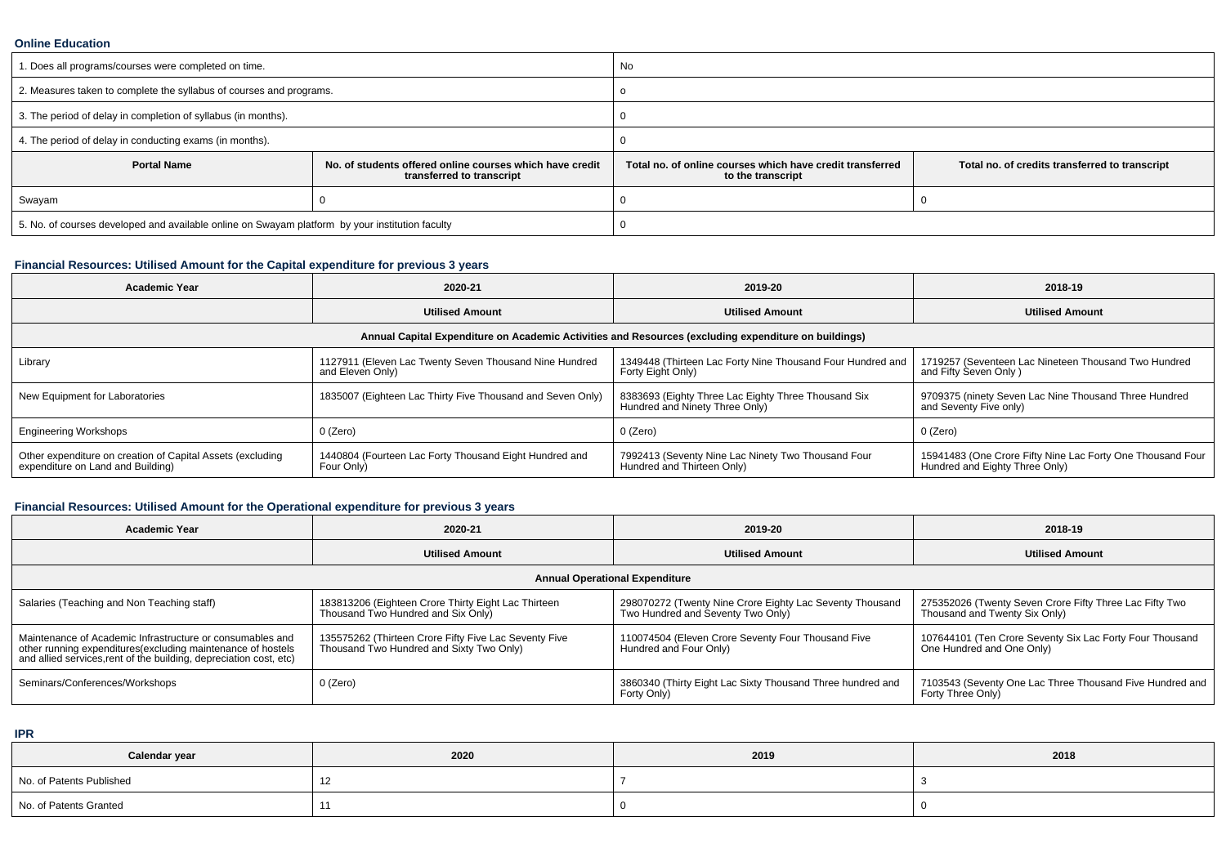#### **Online Education**

| 1. Does all programs/courses were completed on time.                                            |                                                                                       | No                                                                                                                               |  |  |  |
|-------------------------------------------------------------------------------------------------|---------------------------------------------------------------------------------------|----------------------------------------------------------------------------------------------------------------------------------|--|--|--|
| 2. Measures taken to complete the syllabus of courses and programs.                             |                                                                                       |                                                                                                                                  |  |  |  |
| 3. The period of delay in completion of syllabus (in months).                                   |                                                                                       |                                                                                                                                  |  |  |  |
| 4. The period of delay in conducting exams (in months).                                         |                                                                                       |                                                                                                                                  |  |  |  |
| <b>Portal Name</b>                                                                              | No. of students offered online courses which have credit<br>transferred to transcript | Total no. of credits transferred to transcript<br>Total no, of online courses which have credit transferred<br>to the transcript |  |  |  |
| Swayam                                                                                          |                                                                                       |                                                                                                                                  |  |  |  |
| 5. No. of courses developed and available online on Swayam platform by your institution faculty |                                                                                       |                                                                                                                                  |  |  |  |

## **Financial Resources: Utilised Amount for the Capital expenditure for previous 3 years**

| <b>Academic Year</b>                                                                            | 2020-21                                                                    | 2019-20                                                                                              | 2018-19                                                                                      |  |
|-------------------------------------------------------------------------------------------------|----------------------------------------------------------------------------|------------------------------------------------------------------------------------------------------|----------------------------------------------------------------------------------------------|--|
|                                                                                                 | <b>Utilised Amount</b>                                                     | <b>Utilised Amount</b>                                                                               | <b>Utilised Amount</b>                                                                       |  |
|                                                                                                 |                                                                            | Annual Capital Expenditure on Academic Activities and Resources (excluding expenditure on buildings) |                                                                                              |  |
| Library                                                                                         | 1127911 (Eleven Lac Twenty Seven Thousand Nine Hundred<br>and Eleven Only) | 1349448 (Thirteen Lac Forty Nine Thousand Four Hundred and<br>Forty Eight Only)                      | 1719257 (Seventeen Lac Nineteen Thousand Two Hundred<br>and Fifty Seven Only)                |  |
| New Equipment for Laboratories                                                                  | 1835007 (Eighteen Lac Thirty Five Thousand and Seven Only)                 | 8383693 (Eighty Three Lac Eighty Three Thousand Six<br>Hundred and Ninety Three Only)                | 9709375 (ninety Seven Lac Nine Thousand Three Hundred<br>and Seventy Five only)              |  |
| <b>Engineering Workshops</b>                                                                    | $0$ (Zero)                                                                 | 0 (Zero)                                                                                             | 0 (Zero)                                                                                     |  |
| Other expenditure on creation of Capital Assets (excluding<br>expenditure on Land and Building) | 1440804 (Fourteen Lac Forty Thousand Eight Hundred and<br>Four Only)       | 7992413 (Seventy Nine Lac Ninety Two Thousand Four<br>Hundred and Thirteen Only)                     | 15941483 (One Crore Fifty Nine Lac Forty One Thousand Four<br>Hundred and Eighty Three Only) |  |

# **Financial Resources: Utilised Amount for the Operational expenditure for previous 3 years**

| Academic Year                                                                                                                                                                                   | 2020-21                                                                                           | 2019-20                                                                                  | 2018-19                                                                               |  |  |
|-------------------------------------------------------------------------------------------------------------------------------------------------------------------------------------------------|---------------------------------------------------------------------------------------------------|------------------------------------------------------------------------------------------|---------------------------------------------------------------------------------------|--|--|
|                                                                                                                                                                                                 | <b>Utilised Amount</b>                                                                            | <b>Utilised Amount</b>                                                                   | <b>Utilised Amount</b>                                                                |  |  |
|                                                                                                                                                                                                 |                                                                                                   | <b>Annual Operational Expenditure</b>                                                    |                                                                                       |  |  |
| Salaries (Teaching and Non Teaching staff)                                                                                                                                                      | 183813206 (Eighteen Crore Thirty Eight Lac Thirteen<br>Thousand Two Hundred and Six Only)         | 275352026 (Twenty Seven Crore Fifty Three Lac Fifty Two<br>Thousand and Twenty Six Only) |                                                                                       |  |  |
| Maintenance of Academic Infrastructure or consumables and<br>other running expenditures (excluding maintenance of hostels<br>and allied services, rent of the building, depreciation cost, etc) | 135575262 (Thirteen Crore Fifty Five Lac Seventy Five<br>Thousand Two Hundred and Sixty Two Only) | 110074504 (Eleven Crore Seventy Four Thousand Five<br>Hundred and Four Only)             | 107644101 (Ten Crore Seventy Six Lac Forty Four Thousand<br>One Hundred and One Only) |  |  |
| Seminars/Conferences/Workshops                                                                                                                                                                  | 0 (Zero)                                                                                          | 3860340 (Thirty Eight Lac Sixty Thousand Three hundred and<br>Forty Only)                | 7103543 (Seventy One Lac Three Thousand Five Hundred and<br>Forty Three Only)         |  |  |

**IPR**

| Calendar year            | 2020                     | 2019 | 2018 |
|--------------------------|--------------------------|------|------|
| No. of Patents Published | $\overline{\phantom{a}}$ |      |      |
| No. of Patents Granted   |                          |      |      |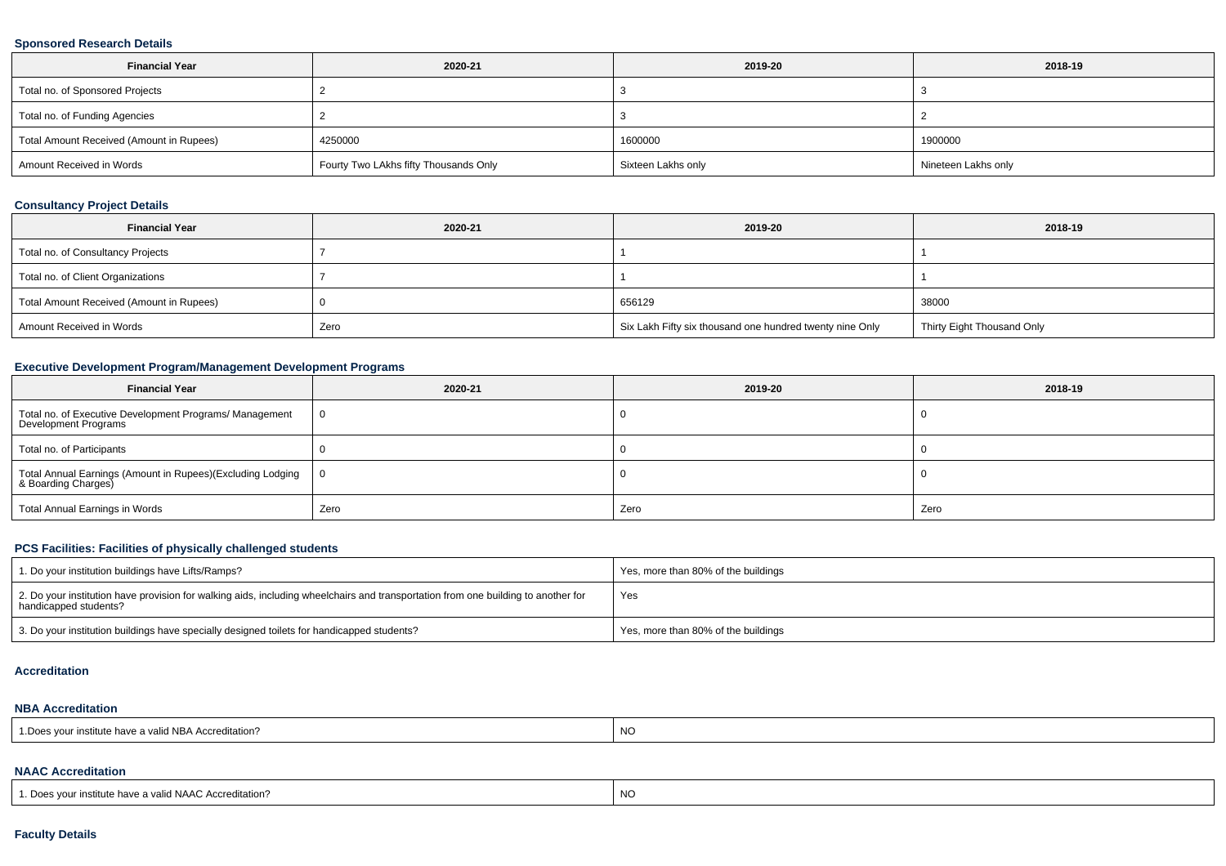#### **Sponsored Research Details**

| <b>Financial Year</b>                    | 2020-21                               | 2019-20 | 2018-19             |  |
|------------------------------------------|---------------------------------------|---------|---------------------|--|
| Total no. of Sponsored Projects          |                                       |         |                     |  |
| Total no. of Funding Agencies            |                                       |         |                     |  |
| Total Amount Received (Amount in Rupees) | 4250000                               |         | 1900000             |  |
| Amount Received in Words                 | Fourty Two LAkhs fifty Thousands Only |         | Nineteen Lakhs only |  |

## **Consultancy Project Details**

| <b>Financial Year</b>                    | 2020-21 | 2019-20                                                  | 2018-19                    |  |  |
|------------------------------------------|---------|----------------------------------------------------------|----------------------------|--|--|
| Total no. of Consultancy Projects        |         |                                                          |                            |  |  |
| Total no. of Client Organizations        |         |                                                          |                            |  |  |
| Total Amount Received (Amount in Rupees) |         | 656129                                                   | 38000                      |  |  |
| Amount Received in Words<br>Zero         |         | Six Lakh Fifty six thousand one hundred twenty nine Only | Thirty Eight Thousand Only |  |  |

## **Executive Development Program/Management Development Programs**

| <b>Financial Year</b>                                                             | 2020-21 | 2019-20 | 2018-19 |  |
|-----------------------------------------------------------------------------------|---------|---------|---------|--|
| Total no. of Executive Development Programs/ Management<br>Development Programs   | 0       |         |         |  |
| Total no. of Participants                                                         |         |         |         |  |
| Total Annual Earnings (Amount in Rupees)(Excluding Lodging<br>& Boarding Charges) |         |         |         |  |
| Total Annual Earnings in Words                                                    | Zero    | Zero    | Zero    |  |

## **PCS Facilities: Facilities of physically challenged students**

| 1. Do your institution buildings have Lifts/Ramps?                                                                                                         | Yes, more than 80% of the buildings |
|------------------------------------------------------------------------------------------------------------------------------------------------------------|-------------------------------------|
| 2. Do your institution have provision for walking aids, including wheelchairs and transportation from one building to another for<br>handicapped students? | Yes                                 |
| 3. Do your institution buildings have specially designed toilets for handicapped students?                                                                 | Yes, more than 80% of the buildings |

#### **Accreditation**

#### **NBA Accreditation**

| . NC<br>a valid NBA Accreditation?<br>TIISUUUE HAVE A ' |
|---------------------------------------------------------|
|---------------------------------------------------------|

### **NAAC Accreditation**

| $\cdots$<br>. Does your in<br>valid NAAC Accreditation?<br>r institute have a | $\overline{M}$<br>--<br>◡⊮ו |
|-------------------------------------------------------------------------------|-----------------------------|
|-------------------------------------------------------------------------------|-----------------------------|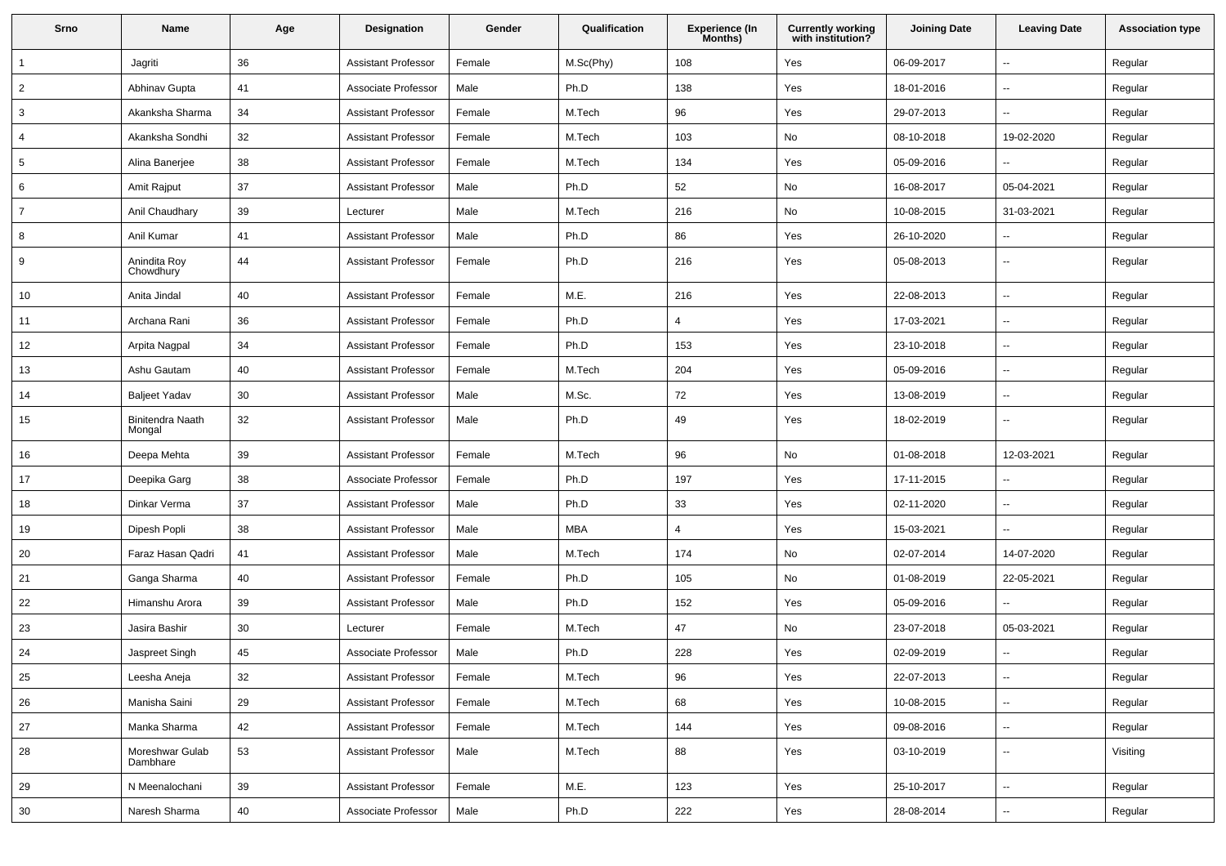| Srno           | Name                              | Age | <b>Designation</b>         | Gender | Qualification | Experience (In<br>Months) | <b>Currently working</b><br>with institution? | <b>Joining Date</b> | <b>Leaving Date</b>      | <b>Association type</b> |
|----------------|-----------------------------------|-----|----------------------------|--------|---------------|---------------------------|-----------------------------------------------|---------------------|--------------------------|-------------------------|
| 1              | Jagriti                           | 36  | <b>Assistant Professor</b> | Female | M.Sc(Phy)     | 108                       | Yes                                           | 06-09-2017          | $\overline{\phantom{a}}$ | Regular                 |
| $\overline{2}$ | Abhinav Gupta                     | 41  | Associate Professor        | Male   | Ph.D          | 138                       | Yes                                           | 18-01-2016          | $\overline{\phantom{a}}$ | Regular                 |
| 3              | Akanksha Sharma                   | 34  | <b>Assistant Professor</b> | Female | M.Tech        | 96                        | Yes                                           | 29-07-2013          | $\overline{\phantom{a}}$ | Regular                 |
| $\overline{4}$ | Akanksha Sondhi                   | 32  | <b>Assistant Professor</b> | Female | M.Tech        | 103                       | No                                            | 08-10-2018          | 19-02-2020               | Regular                 |
| 5              | Alina Banerjee                    | 38  | <b>Assistant Professor</b> | Female | M.Tech        | 134                       | Yes                                           | 05-09-2016          |                          | Regular                 |
| 6              | Amit Rajput                       | 37  | <b>Assistant Professor</b> | Male   | Ph.D          | 52                        | No                                            | 16-08-2017          | 05-04-2021               | Regular                 |
| 7              | Anil Chaudhary                    | 39  | Lecturer                   | Male   | M.Tech        | 216                       | No                                            | 10-08-2015          | 31-03-2021               | Regular                 |
| 8              | Anil Kumar                        | 41  | <b>Assistant Professor</b> | Male   | Ph.D          | 86                        | Yes                                           | 26-10-2020          | $\overline{\phantom{a}}$ | Regular                 |
| 9              | Anindita Roy<br>Chowdhury         | 44  | <b>Assistant Professor</b> | Female | Ph.D          | 216                       | Yes                                           | 05-08-2013          | $\overline{\phantom{a}}$ | Regular                 |
| 10             | Anita Jindal                      | 40  | <b>Assistant Professor</b> | Female | M.E.          | 216                       | Yes                                           | 22-08-2013          | $\overline{\phantom{a}}$ | Regular                 |
| 11             | Archana Rani                      | 36  | <b>Assistant Professor</b> | Female | Ph.D          | $\overline{4}$            | Yes                                           | 17-03-2021          | $\overline{\phantom{a}}$ | Regular                 |
| 12             | Arpita Nagpal                     | 34  | <b>Assistant Professor</b> | Female | Ph.D          | 153                       | Yes                                           | 23-10-2018          | $\sim$                   | Regular                 |
| 13             | Ashu Gautam                       | 40  | <b>Assistant Professor</b> | Female | M.Tech        | 204                       | Yes                                           | 05-09-2016          | $\overline{\phantom{a}}$ | Regular                 |
| 14             | <b>Baljeet Yadav</b>              | 30  | Assistant Professor        | Male   | M.Sc.         | 72                        | Yes                                           | 13-08-2019          | $\overline{\phantom{a}}$ | Regular                 |
| 15             | <b>Binitendra Naath</b><br>Mongal | 32  | <b>Assistant Professor</b> | Male   | Ph.D          | 49                        | Yes                                           | 18-02-2019          | $\overline{\phantom{a}}$ | Regular                 |
| 16             | Deepa Mehta                       | 39  | <b>Assistant Professor</b> | Female | M.Tech        | 96                        | No                                            | 01-08-2018          | 12-03-2021               | Regular                 |
| 17             | Deepika Garg                      | 38  | Associate Professor        | Female | Ph.D          | 197                       | Yes                                           | 17-11-2015          | $\overline{\phantom{a}}$ | Regular                 |
| 18             | Dinkar Verma                      | 37  | <b>Assistant Professor</b> | Male   | Ph.D          | 33                        | Yes                                           | 02-11-2020          | $\overline{\phantom{a}}$ | Regular                 |
| 19             | Dipesh Popli                      | 38  | <b>Assistant Professor</b> | Male   | <b>MBA</b>    | $\overline{4}$            | Yes                                           | 15-03-2021          | $\sim$                   | Regular                 |
| 20             | Faraz Hasan Qadri                 | 41  | <b>Assistant Professor</b> | Male   | M.Tech        | 174                       | No                                            | 02-07-2014          | 14-07-2020               | Regular                 |
| 21             | Ganga Sharma                      | 40  | Assistant Professor        | Female | Ph.D          | 105                       | No                                            | 01-08-2019          | 22-05-2021               | Regular                 |
| 22             | Himanshu Arora                    | 39  | <b>Assistant Professor</b> | Male   | Ph.D          | 152                       | Yes                                           | 05-09-2016          |                          | Regular                 |
| 23             | Jasira Bashir                     | 30  | Lecturer                   | Female | M.Tech        | 47                        | No                                            | 23-07-2018          | 05-03-2021               | Regular                 |
| 24             | Jaspreet Singh                    | 45  | Associate Professor        | Male   | Ph.D          | 228                       | Yes                                           | 02-09-2019          |                          | Regular                 |
| 25             | Leesha Aneja                      | 32  | <b>Assistant Professor</b> | Female | M.Tech        | 96                        | Yes                                           | 22-07-2013          | $\overline{\phantom{a}}$ | Regular                 |
| 26             | Manisha Saini                     | 29  | <b>Assistant Professor</b> | Female | M.Tech        | 68                        | Yes                                           | 10-08-2015          | $\overline{\phantom{a}}$ | Regular                 |
| 27             | Manka Sharma                      | 42  | <b>Assistant Professor</b> | Female | M.Tech        | 144                       | Yes                                           | 09-08-2016          | $\sim$                   | Regular                 |
| 28             | Moreshwar Gulab<br>Dambhare       | 53  | <b>Assistant Professor</b> | Male   | M.Tech        | 88                        | Yes                                           | 03-10-2019          | $\overline{\phantom{a}}$ | Visiting                |
| 29             | N Meenalochani                    | 39  | <b>Assistant Professor</b> | Female | M.E.          | 123                       | Yes                                           | 25-10-2017          | $\overline{\phantom{a}}$ | Regular                 |
| 30             | Naresh Sharma                     | 40  | Associate Professor        | Male   | Ph.D          | 222                       | Yes                                           | 28-08-2014          | $\overline{\phantom{a}}$ | Regular                 |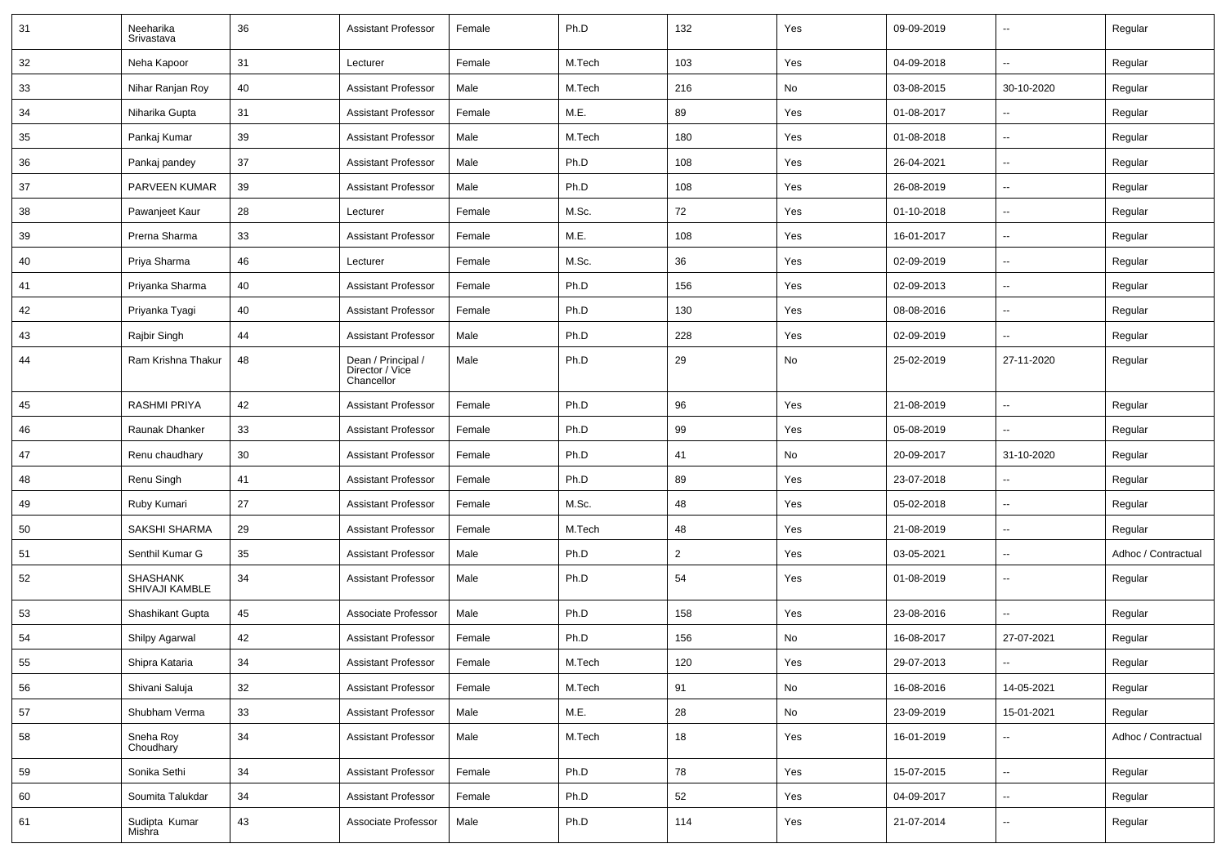| 31 | Neeharika<br>Srivastava           | 36 | <b>Assistant Professor</b>                          | Female | Ph.D   | 132            | Yes | 09-09-2019 | $\overline{\phantom{a}}$ | Regular             |
|----|-----------------------------------|----|-----------------------------------------------------|--------|--------|----------------|-----|------------|--------------------------|---------------------|
| 32 | Neha Kapoor                       | 31 | Lecturer                                            | Female | M.Tech | 103            | Yes | 04-09-2018 | $\overline{\phantom{a}}$ | Regular             |
| 33 | Nihar Ranjan Roy                  | 40 | <b>Assistant Professor</b>                          | Male   | M.Tech | 216            | No  | 03-08-2015 | 30-10-2020               | Regular             |
| 34 | Niharika Gupta                    | 31 | <b>Assistant Professor</b>                          | Female | M.E.   | 89             | Yes | 01-08-2017 | -−                       | Regular             |
| 35 | Pankaj Kumar                      | 39 | <b>Assistant Professor</b>                          | Male   | M.Tech | 180            | Yes | 01-08-2018 | $\overline{\phantom{a}}$ | Regular             |
| 36 | Pankaj pandey                     | 37 | <b>Assistant Professor</b>                          | Male   | Ph.D   | 108            | Yes | 26-04-2021 |                          | Regular             |
| 37 | <b>PARVEEN KUMAR</b>              | 39 | <b>Assistant Professor</b>                          | Male   | Ph.D   | 108            | Yes | 26-08-2019 | $\overline{\phantom{a}}$ | Regular             |
| 38 | Pawanjeet Kaur                    | 28 | Lecturer                                            | Female | M.Sc.  | 72             | Yes | 01-10-2018 | $\overline{\phantom{a}}$ | Regular             |
| 39 | Prerna Sharma                     | 33 | <b>Assistant Professor</b>                          | Female | M.E.   | 108            | Yes | 16-01-2017 | -−                       | Regular             |
| 40 | Priya Sharma                      | 46 | Lecturer                                            | Female | M.Sc.  | 36             | Yes | 02-09-2019 | ⊷.                       | Regular             |
| 41 | Priyanka Sharma                   | 40 | <b>Assistant Professor</b>                          | Female | Ph.D   | 156            | Yes | 02-09-2013 | --                       | Regular             |
| 42 | Priyanka Tyagi                    | 40 | <b>Assistant Professor</b>                          | Female | Ph.D   | 130            | Yes | 08-08-2016 | --                       | Regular             |
| 43 | Rajbir Singh                      | 44 | <b>Assistant Professor</b>                          | Male   | Ph.D   | 228            | Yes | 02-09-2019 | $\overline{\phantom{a}}$ | Regular             |
| 44 | Ram Krishna Thakur                | 48 | Dean / Principal /<br>Director / Vice<br>Chancellor | Male   | Ph.D   | 29             | No  | 25-02-2019 | 27-11-2020               | Regular             |
| 45 | <b>RASHMI PRIYA</b>               | 42 | <b>Assistant Professor</b>                          | Female | Ph.D   | 96             | Yes | 21-08-2019 | Ξ.                       | Regular             |
| 46 | Raunak Dhanker                    | 33 | <b>Assistant Professor</b>                          | Female | Ph.D   | 99             | Yes | 05-08-2019 | $\overline{\phantom{a}}$ | Regular             |
| 47 | Renu chaudhary                    | 30 | <b>Assistant Professor</b>                          | Female | Ph.D   | 41             | No  | 20-09-2017 | 31-10-2020               | Regular             |
| 48 | Renu Singh                        | 41 | <b>Assistant Professor</b>                          | Female | Ph.D   | 89             | Yes | 23-07-2018 | --                       | Regular             |
| 49 | Ruby Kumari                       | 27 | <b>Assistant Professor</b>                          | Female | M.Sc.  | 48             | Yes | 05-02-2018 | $\overline{\phantom{a}}$ | Regular             |
| 50 | SAKSHI SHARMA                     | 29 | <b>Assistant Professor</b>                          | Female | M.Tech | 48             | Yes | 21-08-2019 | --                       | Regular             |
| 51 | Senthil Kumar G                   | 35 | <b>Assistant Professor</b>                          | Male   | Ph.D   | $\overline{2}$ | Yes | 03-05-2021 | ⊷.                       | Adhoc / Contractual |
| 52 | <b>SHASHANK</b><br>SHIVAJI KAMBLE | 34 | <b>Assistant Professor</b>                          | Male   | Ph.D   | 54             | Yes | 01-08-2019 | $\overline{\phantom{a}}$ | Regular             |
| 53 | Shashikant Gupta                  | 45 | Associate Professor                                 | Male   | Ph.D   | 158            | Yes | 23-08-2016 | $\overline{\phantom{a}}$ | Regular             |
| 54 | Shilpy Agarwal                    | 42 | <b>Assistant Professor</b>                          | Female | Ph.D   | 156            | No  | 16-08-2017 | 27-07-2021               | Regular             |
| 55 | Shipra Kataria                    | 34 | <b>Assistant Professor</b>                          | Female | M.Tech | 120            | Yes | 29-07-2013 | Ξ.                       | Regular             |
| 56 | Shivani Saluja                    | 32 | <b>Assistant Professor</b>                          | Female | M.Tech | 91             | No  | 16-08-2016 | 14-05-2021               | Regular             |
| 57 | Shubham Verma                     | 33 | <b>Assistant Professor</b>                          | Male   | M.E.   | 28             | No  | 23-09-2019 | 15-01-2021               | Regular             |
| 58 | Sneha Roy<br>Choudhary            | 34 | <b>Assistant Professor</b>                          | Male   | M.Tech | 18             | Yes | 16-01-2019 | ۵.                       | Adhoc / Contractual |
| 59 | Sonika Sethi                      | 34 | <b>Assistant Professor</b>                          | Female | Ph.D   | 78             | Yes | 15-07-2015 | ш.                       | Regular             |
| 60 | Soumita Talukdar                  | 34 | <b>Assistant Professor</b>                          | Female | Ph.D   | 52             | Yes | 04-09-2017 | $\overline{\phantom{a}}$ | Regular             |
| 61 | Sudipta Kumar<br>Mishra           | 43 | Associate Professor                                 | Male   | Ph.D   | 114            | Yes | 21-07-2014 | --                       | Regular             |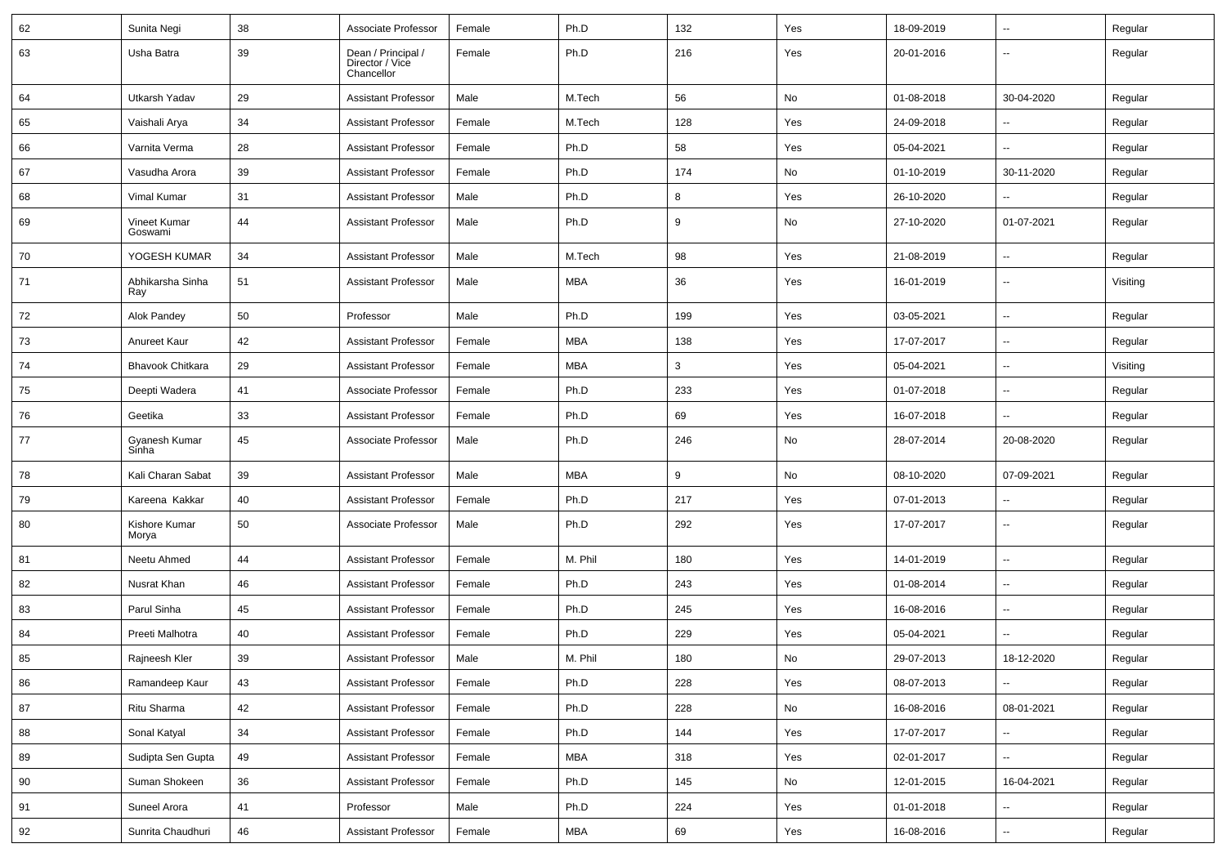| 62 | Sunita Negi             | 38 | Associate Professor                                 | Female | Ph.D       | 132 | Yes | 18-09-2019 | $\overline{\phantom{a}}$ | Regular  |
|----|-------------------------|----|-----------------------------------------------------|--------|------------|-----|-----|------------|--------------------------|----------|
| 63 | Usha Batra              | 39 | Dean / Principal /<br>Director / Vice<br>Chancellor | Female | Ph.D       | 216 | Yes | 20-01-2016 | --                       | Regular  |
| 64 | Utkarsh Yadav           | 29 | <b>Assistant Professor</b>                          | Male   | M.Tech     | 56  | No  | 01-08-2018 | 30-04-2020               | Regular  |
| 65 | Vaishali Arya           | 34 | <b>Assistant Professor</b>                          | Female | M.Tech     | 128 | Yes | 24-09-2018 | --                       | Regular  |
| 66 | Varnita Verma           | 28 | <b>Assistant Professor</b>                          | Female | Ph.D       | 58  | Yes | 05-04-2021 | -−                       | Regular  |
| 67 | Vasudha Arora           | 39 | <b>Assistant Professor</b>                          | Female | Ph.D       | 174 | No  | 01-10-2019 | 30-11-2020               | Regular  |
| 68 | Vimal Kumar             | 31 | <b>Assistant Professor</b>                          | Male   | Ph.D       | 8   | Yes | 26-10-2020 |                          | Regular  |
| 69 | Vineet Kumar<br>Goswami | 44 | <b>Assistant Professor</b>                          | Male   | Ph.D       | 9   | No  | 27-10-2020 | 01-07-2021               | Regular  |
| 70 | YOGESH KUMAR            | 34 | <b>Assistant Professor</b>                          | Male   | M.Tech     | 98  | Yes | 21-08-2019 | $\overline{\phantom{a}}$ | Regular  |
| 71 | Abhikarsha Sinha<br>Ray | 51 | <b>Assistant Professor</b>                          | Male   | MBA        | 36  | Yes | 16-01-2019 | ⊶.                       | Visiting |
| 72 | Alok Pandey             | 50 | Professor                                           | Male   | Ph.D       | 199 | Yes | 03-05-2021 | $\sim$                   | Regular  |
| 73 | Anureet Kaur            | 42 | <b>Assistant Professor</b>                          | Female | MBA        | 138 | Yes | 17-07-2017 | --                       | Regular  |
| 74 | <b>Bhavook Chitkara</b> | 29 | <b>Assistant Professor</b>                          | Female | MBA        | 3   | Yes | 05-04-2021 | $\overline{\phantom{a}}$ | Visiting |
| 75 | Deepti Wadera           | 41 | Associate Professor                                 | Female | Ph.D       | 233 | Yes | 01-07-2018 | $\overline{\phantom{a}}$ | Regular  |
| 76 | Geetika                 | 33 | <b>Assistant Professor</b>                          | Female | Ph.D       | 69  | Yes | 16-07-2018 | --                       | Regular  |
| 77 | Gyanesh Kumar<br>Sinha  | 45 | Associate Professor                                 | Male   | Ph.D       | 246 | No  | 28-07-2014 | 20-08-2020               | Regular  |
| 78 | Kali Charan Sabat       | 39 | <b>Assistant Professor</b>                          | Male   | <b>MBA</b> | 9   | No  | 08-10-2020 | 07-09-2021               | Regular  |
| 79 | Kareena Kakkar          | 40 | Assistant Professor                                 | Female | Ph.D       | 217 | Yes | 07-01-2013 | $\overline{\phantom{a}}$ | Regular  |
| 80 | Kishore Kumar<br>Morya  | 50 | Associate Professor                                 | Male   | Ph.D       | 292 | Yes | 17-07-2017 | --                       | Regular  |
| 81 | Neetu Ahmed             | 44 | <b>Assistant Professor</b>                          | Female | M. Phil    | 180 | Yes | 14-01-2019 | $\overline{\phantom{a}}$ | Regular  |
| 82 | Nusrat Khan             | 46 | <b>Assistant Professor</b>                          | Female | Ph.D       | 243 | Yes | 01-08-2014 | --                       | Regular  |
| 83 | Parul Sinha             | 45 | <b>Assistant Professor</b>                          | Female | Ph.D       | 245 | Yes | 16-08-2016 | $\overline{\phantom{a}}$ | Regular  |
| 84 | Preeti Malhotra         | 40 | <b>Assistant Professor</b>                          | Female | Ph.D       | 229 | Yes | 05-04-2021 | ۵.                       | Regular  |
| 85 | Rajneesh Kler           | 39 | <b>Assistant Professor</b>                          | Male   | M. Phil    | 180 | No  | 29-07-2013 | 18-12-2020               | Regular  |
| 86 | Ramandeep Kaur          | 43 | <b>Assistant Professor</b>                          | Female | Ph.D       | 228 | Yes | 08-07-2013 | $\sim$                   | Regular  |
| 87 | Ritu Sharma             | 42 | <b>Assistant Professor</b>                          | Female | Ph.D       | 228 | No  | 16-08-2016 | 08-01-2021               | Regular  |
| 88 | Sonal Katyal            | 34 | <b>Assistant Professor</b>                          | Female | Ph.D       | 144 | Yes | 17-07-2017 | $\overline{\phantom{a}}$ | Regular  |
| 89 | Sudipta Sen Gupta       | 49 | <b>Assistant Professor</b>                          | Female | MBA        | 318 | Yes | 02-01-2017 | $\overline{\phantom{a}}$ | Regular  |
| 90 | Suman Shokeen           | 36 | <b>Assistant Professor</b>                          | Female | Ph.D       | 145 | No  | 12-01-2015 | 16-04-2021               | Regular  |
| 91 | Suneel Arora            | 41 | Professor                                           | Male   | Ph.D       | 224 | Yes | 01-01-2018 | $\overline{\phantom{a}}$ | Regular  |
| 92 | Sunrita Chaudhuri       | 46 | <b>Assistant Professor</b>                          | Female | MBA        | 69  | Yes | 16-08-2016 | щ.                       | Regular  |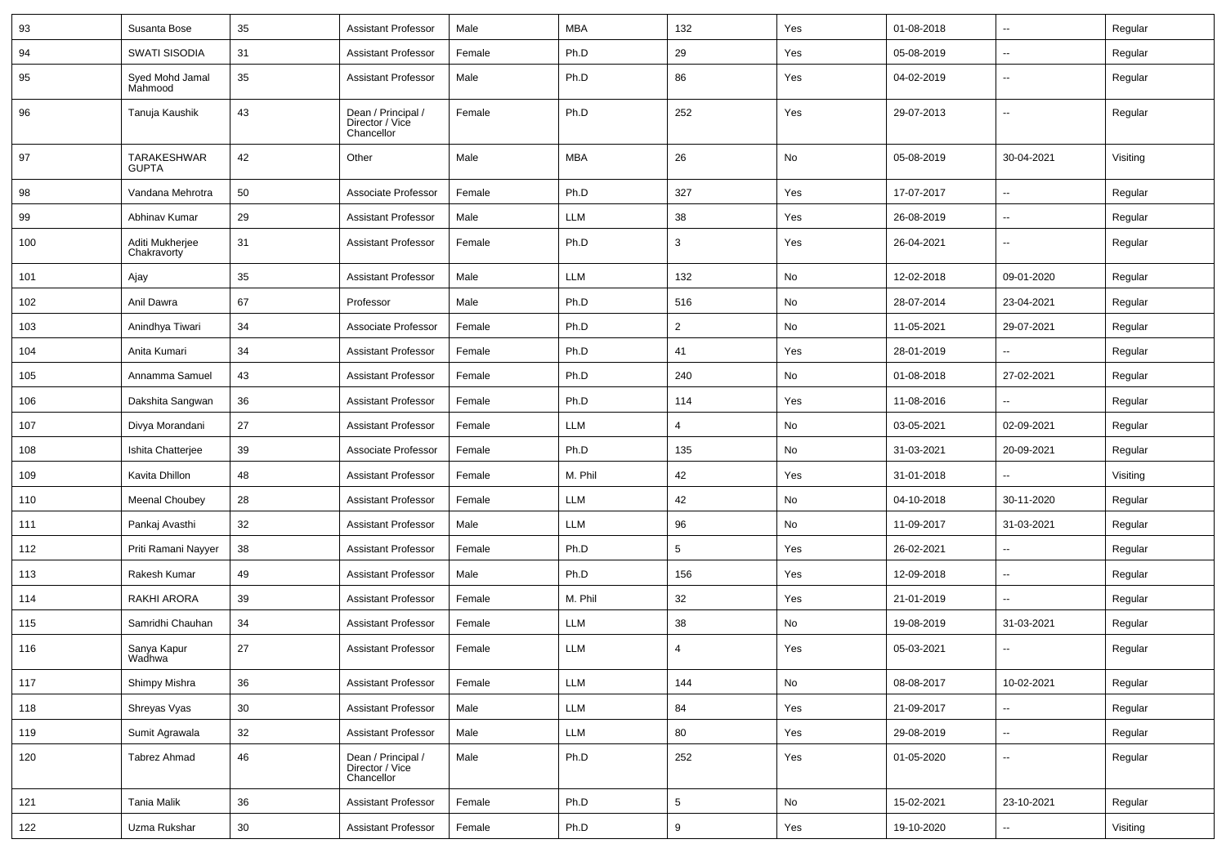| 93  | Susanta Bose                   | 35 | <b>Assistant Professor</b>                          | Male   | <b>MBA</b> | 132             | Yes | 01-08-2018 | $\overline{\phantom{a}}$ | Regular  |
|-----|--------------------------------|----|-----------------------------------------------------|--------|------------|-----------------|-----|------------|--------------------------|----------|
| 94  | SWATI SISODIA                  | 31 | <b>Assistant Professor</b>                          | Female | Ph.D       | 29              | Yes | 05-08-2019 | $\overline{a}$           | Regular  |
| 95  | Syed Mohd Jamal<br>Mahmood     | 35 | <b>Assistant Professor</b>                          | Male   | Ph.D       | 86              | Yes | 04-02-2019 | ۰.                       | Regular  |
| 96  | Tanuja Kaushik                 | 43 | Dean / Principal /<br>Director / Vice<br>Chancellor | Female | Ph.D       | 252             | Yes | 29-07-2013 | ۰.                       | Regular  |
| 97  | TARAKESHWAR<br><b>GUPTA</b>    | 42 | Other                                               | Male   | MBA        | 26              | No  | 05-08-2019 | 30-04-2021               | Visiting |
| 98  | Vandana Mehrotra               | 50 | Associate Professor                                 | Female | Ph.D       | 327             | Yes | 17-07-2017 | u.                       | Regular  |
| 99  | Abhinav Kumar                  | 29 | <b>Assistant Professor</b>                          | Male   | <b>LLM</b> | 38              | Yes | 26-08-2019 | ۰.                       | Regular  |
| 100 | Aditi Mukherjee<br>Chakravorty | 31 | <b>Assistant Professor</b>                          | Female | Ph.D       | 3               | Yes | 26-04-2021 | ۰.                       | Regular  |
| 101 | Ajay                           | 35 | <b>Assistant Professor</b>                          | Male   | LLM        | 132             | No  | 12-02-2018 | 09-01-2020               | Regular  |
| 102 | Anil Dawra                     | 67 | Professor                                           | Male   | Ph.D       | 516             | No  | 28-07-2014 | 23-04-2021               | Regular  |
| 103 | Anindhya Tiwari                | 34 | Associate Professor                                 | Female | Ph.D       | $\overline{2}$  | No  | 11-05-2021 | 29-07-2021               | Regular  |
| 104 | Anita Kumari                   | 34 | <b>Assistant Professor</b>                          | Female | Ph.D       | 41              | Yes | 28-01-2019 | $\overline{\phantom{a}}$ | Regular  |
| 105 | Annamma Samuel                 | 43 | <b>Assistant Professor</b>                          | Female | Ph.D       | 240             | No  | 01-08-2018 | 27-02-2021               | Regular  |
| 106 | Dakshita Sangwan               | 36 | <b>Assistant Professor</b>                          | Female | Ph.D       | 114             | Yes | 11-08-2016 | ۰.                       | Regular  |
| 107 | Divya Morandani                | 27 | <b>Assistant Professor</b>                          | Female | <b>LLM</b> | 4               | No  | 03-05-2021 | 02-09-2021               | Regular  |
| 108 | Ishita Chatterjee              | 39 | Associate Professor                                 | Female | Ph.D       | 135             | No  | 31-03-2021 | 20-09-2021               | Regular  |
| 109 | Kavita Dhillon                 | 48 | <b>Assistant Professor</b>                          | Female | M. Phil    | 42              | Yes | 31-01-2018 | u.                       | Visiting |
| 110 | <b>Meenal Choubey</b>          | 28 | <b>Assistant Professor</b>                          | Female | LLM        | 42              | No  | 04-10-2018 | 30-11-2020               | Regular  |
| 111 | Pankaj Avasthi                 | 32 | <b>Assistant Professor</b>                          | Male   | LLM        | 96              | No  | 11-09-2017 | 31-03-2021               | Regular  |
| 112 | Priti Ramani Nayyer            | 38 | <b>Assistant Professor</b>                          | Female | Ph.D       | $5\phantom{.0}$ | Yes | 26-02-2021 |                          | Regular  |
| 113 | Rakesh Kumar                   | 49 | <b>Assistant Professor</b>                          | Male   | Ph.D       | 156             | Yes | 12-09-2018 | $\overline{\phantom{a}}$ | Regular  |
| 114 | RAKHI ARORA                    | 39 | <b>Assistant Professor</b>                          | Female | M. Phil    | 32              | Yes | 21-01-2019 | $\overline{a}$           | Regular  |
| 115 | Samridhi Chauhan               | 34 | <b>Assistant Professor</b>                          | Female | <b>LLM</b> | 38              | No  | 19-08-2019 | 31-03-2021               | Regular  |
| 116 | Sanya Kapur<br>Wadhwa          | 27 | <b>Assistant Professor</b>                          | Female | <b>LLM</b> | $\overline{4}$  | Yes | 05-03-2021 | $\overline{\phantom{a}}$ | Regular  |
| 117 | Shimpy Mishra                  | 36 | <b>Assistant Professor</b>                          | Female | LLM        | 144             | No  | 08-08-2017 | 10-02-2021               | Regular  |
| 118 | Shreyas Vyas                   | 30 | <b>Assistant Professor</b>                          | Male   | LLM        | 84              | Yes | 21-09-2017 | Ξ.                       | Regular  |
| 119 | Sumit Agrawala                 | 32 | <b>Assistant Professor</b>                          | Male   | LLM        | 80              | Yes | 29-08-2019 | Ξ.                       | Regular  |
| 120 | Tabrez Ahmad                   | 46 | Dean / Principal /<br>Director / Vice<br>Chancellor | Male   | Ph.D       | 252             | Yes | 01-05-2020 | --                       | Regular  |
| 121 | Tania Malik                    | 36 | <b>Assistant Professor</b>                          | Female | Ph.D       | $\overline{5}$  | No  | 15-02-2021 | 23-10-2021               | Regular  |
| 122 | Uzma Rukshar                   | 30 | <b>Assistant Professor</b>                          | Female | Ph.D       | 9               | Yes | 19-10-2020 | --                       | Visiting |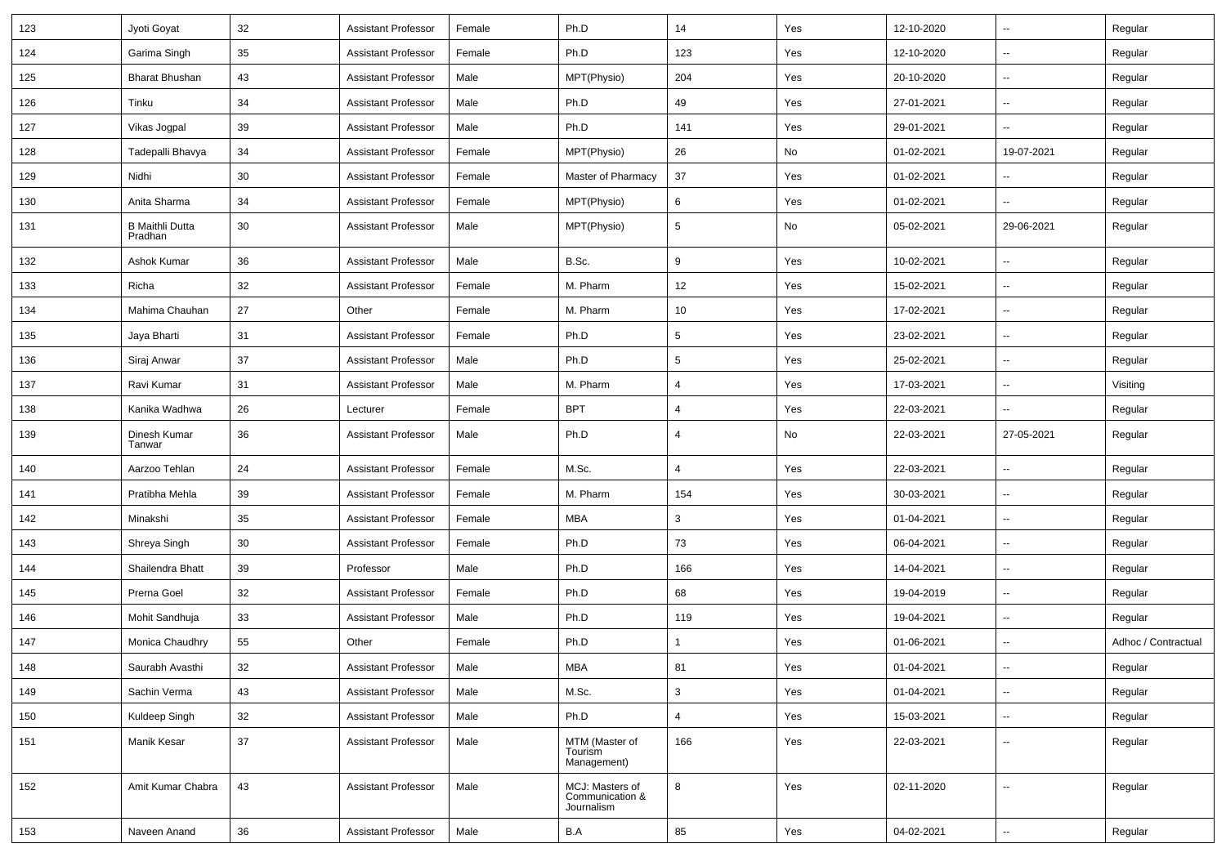| 123 | Jyoti Goyat                       | 32     | <b>Assistant Professor</b> | Female | Ph.D                                             | 14              | Yes | 12-10-2020 | $\overline{\phantom{a}}$ | Regular             |
|-----|-----------------------------------|--------|----------------------------|--------|--------------------------------------------------|-----------------|-----|------------|--------------------------|---------------------|
| 124 | Garima Singh                      | 35     | <b>Assistant Professor</b> | Female | Ph.D                                             | 123             | Yes | 12-10-2020 | $\sim$                   | Regular             |
| 125 | <b>Bharat Bhushan</b>             | 43     | <b>Assistant Professor</b> | Male   | MPT(Physio)                                      | 204             | Yes | 20-10-2020 | --                       | Regular             |
| 126 | Tinku                             | 34     | <b>Assistant Professor</b> | Male   | Ph.D                                             | 49              | Yes | 27-01-2021 | $\overline{\phantom{a}}$ | Regular             |
| 127 | Vikas Jogpal                      | 39     | <b>Assistant Professor</b> | Male   | Ph.D                                             | 141             | Yes | 29-01-2021 | ⊷.                       | Regular             |
| 128 | Tadepalli Bhavya                  | 34     | <b>Assistant Professor</b> | Female | MPT(Physio)                                      | 26              | No  | 01-02-2021 | 19-07-2021               | Regular             |
| 129 | Nidhi                             | 30     | <b>Assistant Professor</b> | Female | Master of Pharmacy                               | 37              | Yes | 01-02-2021 | Щ,                       | Regular             |
| 130 | Anita Sharma                      | 34     | <b>Assistant Professor</b> | Female | MPT(Physio)                                      | 6               | Yes | 01-02-2021 | Ξ.                       | Regular             |
| 131 | <b>B Maithli Dutta</b><br>Pradhan | 30     | <b>Assistant Professor</b> | Male   | MPT(Physio)                                      | $5\phantom{.0}$ | No  | 05-02-2021 | 29-06-2021               | Regular             |
| 132 | Ashok Kumar                       | 36     | <b>Assistant Professor</b> | Male   | B.Sc.                                            | 9               | Yes | 10-02-2021 | $\sim$                   | Regular             |
| 133 | Richa                             | 32     | <b>Assistant Professor</b> | Female | M. Pharm                                         | 12              | Yes | 15-02-2021 | -−                       | Regular             |
| 134 | Mahima Chauhan                    | 27     | Other                      | Female | M. Pharm                                         | 10              | Yes | 17-02-2021 | $\overline{\phantom{a}}$ | Regular             |
| 135 | Jaya Bharti                       | 31     | <b>Assistant Professor</b> | Female | Ph.D                                             | $5\phantom{.0}$ | Yes | 23-02-2021 | н.                       | Regular             |
| 136 | Siraj Anwar                       | 37     | <b>Assistant Professor</b> | Male   | Ph.D                                             | $5\phantom{.0}$ | Yes | 25-02-2021 | $\sim$                   | Regular             |
| 137 | Ravi Kumar                        | 31     | <b>Assistant Professor</b> | Male   | M. Pharm                                         | 4               | Yes | 17-03-2021 | $\sim$                   | Visiting            |
| 138 | Kanika Wadhwa                     | 26     | Lecturer                   | Female | <b>BPT</b>                                       | 4               | Yes | 22-03-2021 |                          | Regular             |
| 139 | Dinesh Kumar<br>Tanwar            | 36     | <b>Assistant Professor</b> | Male   | Ph.D                                             | 4               | No  | 22-03-2021 | 27-05-2021               | Regular             |
| 140 | Aarzoo Tehlan                     | 24     | <b>Assistant Professor</b> | Female | M.Sc.                                            | 4               | Yes | 22-03-2021 | $\sim$                   | Regular             |
| 141 | Pratibha Mehla                    | 39     | <b>Assistant Professor</b> | Female | M. Pharm                                         | 154             | Yes | 30-03-2021 | $\overline{a}$           | Regular             |
| 142 | Minakshi                          | 35     | <b>Assistant Professor</b> | Female | <b>MBA</b>                                       | 3               | Yes | 01-04-2021 | -−                       | Regular             |
| 143 | Shreya Singh                      | 30     | <b>Assistant Professor</b> | Female | Ph.D                                             | 73              | Yes | 06-04-2021 | $\sim$                   | Regular             |
| 144 | Shailendra Bhatt                  | 39     | Professor                  | Male   | Ph.D                                             | 166             | Yes | 14-04-2021 | $\sim$                   | Regular             |
| 145 | Prerna Goel                       | 32     | <b>Assistant Professor</b> | Female | Ph.D                                             | 68              | Yes | 19-04-2019 | ⊷.                       | Regular             |
| 146 | Mohit Sandhuja                    | 33     | <b>Assistant Professor</b> | Male   | Ph.D                                             | 119             | Yes | 19-04-2021 | $\overline{\phantom{a}}$ | Regular             |
| 147 | Monica Chaudhry                   | 55     | Other                      | Female | Ph.D                                             | -1              | Yes | 01-06-2021 | $\overline{\phantom{a}}$ | Adhoc / Contractual |
| 148 | Saurabh Avasthi                   | $32\,$ | Assistant Professor        | Male   | <b>MBA</b>                                       | 81              | Yes | 01-04-2021 |                          | Regular             |
| 149 | Sachin Verma                      | 43     | <b>Assistant Professor</b> | Male   | M.Sc.                                            | $\mathbf{3}$    | Yes | 01-04-2021 | $\overline{\phantom{a}}$ | Regular             |
| 150 | Kuldeep Singh                     | $32\,$ | <b>Assistant Professor</b> | Male   | Ph.D                                             | $\overline{4}$  | Yes | 15-03-2021 | $\sim$                   | Regular             |
| 151 | Manik Kesar                       | 37     | <b>Assistant Professor</b> | Male   | MTM (Master of<br>Tourism<br>Management)         | 166             | Yes | 22-03-2021 | $\sim$                   | Regular             |
| 152 | Amit Kumar Chabra                 | 43     | <b>Assistant Professor</b> | Male   | MCJ: Masters of<br>Communication &<br>Journalism | $\bf8$          | Yes | 02-11-2020 | $\sim$                   | Regular             |
| 153 | Naveen Anand                      | 36     | <b>Assistant Professor</b> | Male   | B.A                                              | 85              | Yes | 04-02-2021 | Щ.                       | Regular             |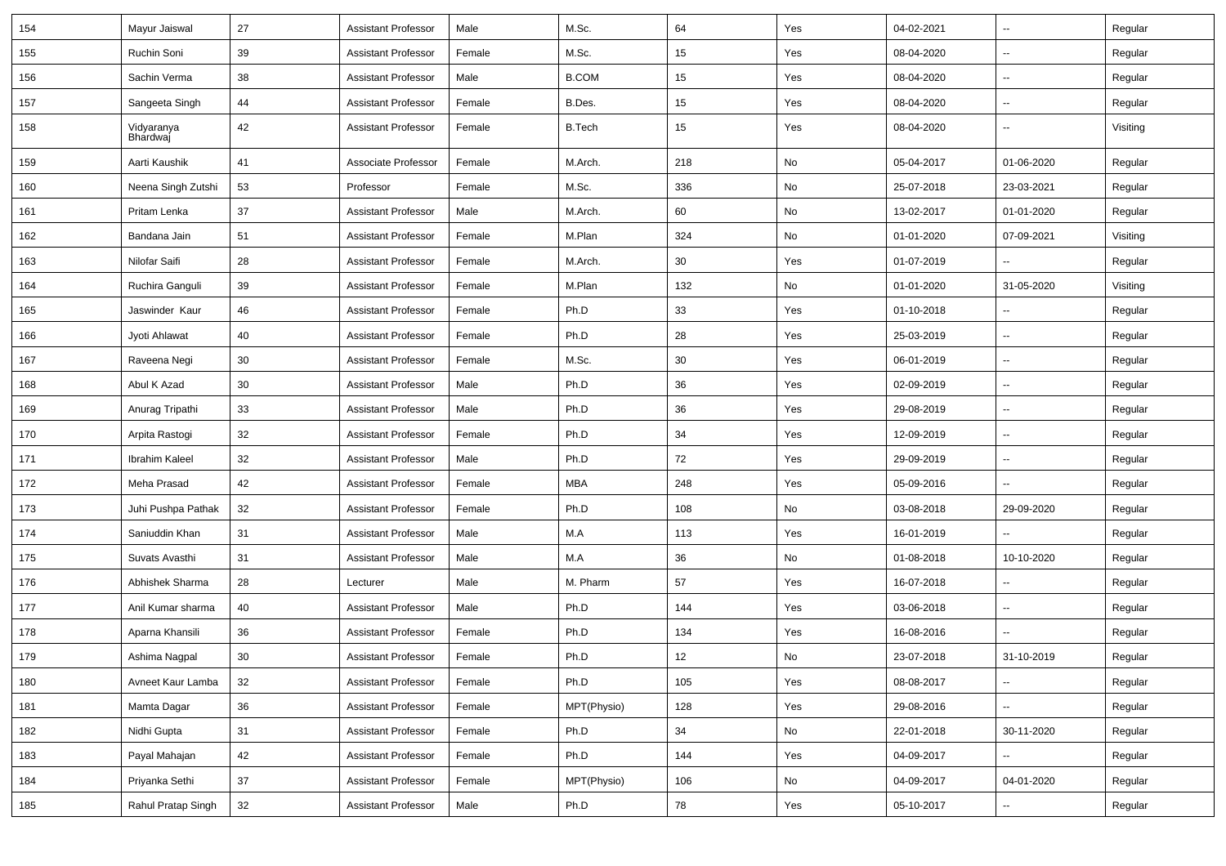| 154 | Mayur Jaiswal          | 27 | <b>Assistant Professor</b> | Male   | M.Sc.         | 64  | Yes           | 04-02-2021 | $\overline{\phantom{a}}$ | Regular  |
|-----|------------------------|----|----------------------------|--------|---------------|-----|---------------|------------|--------------------------|----------|
| 155 | Ruchin Soni            | 39 | <b>Assistant Professor</b> | Female | M.Sc.         | 15  | Yes           | 08-04-2020 | Ξ.                       | Regular  |
| 156 | Sachin Verma           | 38 | <b>Assistant Professor</b> | Male   | <b>B.COM</b>  | 15  | Yes           | 08-04-2020 | --                       | Regular  |
| 157 | Sangeeta Singh         | 44 | <b>Assistant Professor</b> | Female | B.Des.        | 15  | Yes           | 08-04-2020 | $\overline{\phantom{a}}$ | Regular  |
| 158 | Vidyaranya<br>Bhardwaj | 42 | <b>Assistant Professor</b> | Female | <b>B.Tech</b> | 15  | Yes           | 08-04-2020 | Щ,                       | Visiting |
| 159 | Aarti Kaushik          | 41 | Associate Professor        | Female | M.Arch.       | 218 | No            | 05-04-2017 | 01-06-2020               | Regular  |
| 160 | Neena Singh Zutshi     | 53 | Professor                  | Female | M.Sc.         | 336 | No            | 25-07-2018 | 23-03-2021               | Regular  |
| 161 | Pritam Lenka           | 37 | <b>Assistant Professor</b> | Male   | M.Arch.       | 60  | No            | 13-02-2017 | 01-01-2020               | Regular  |
| 162 | Bandana Jain           | 51 | <b>Assistant Professor</b> | Female | M.Plan        | 324 | No            | 01-01-2020 | 07-09-2021               | Visiting |
| 163 | Nilofar Saifi          | 28 | <b>Assistant Professor</b> | Female | M.Arch.       | 30  | Yes           | 01-07-2019 | $\overline{\phantom{a}}$ | Regular  |
| 164 | Ruchira Ganguli        | 39 | <b>Assistant Professor</b> | Female | M.Plan        | 132 | No            | 01-01-2020 | 31-05-2020               | Visiting |
| 165 | Jaswinder Kaur         | 46 | <b>Assistant Professor</b> | Female | Ph.D          | 33  | Yes           | 01-10-2018 | $\overline{\phantom{a}}$ | Regular  |
| 166 | Jyoti Ahlawat          | 40 | <b>Assistant Professor</b> | Female | Ph.D          | 28  | Yes           | 25-03-2019 | Ц.                       | Regular  |
| 167 | Raveena Negi           | 30 | <b>Assistant Professor</b> | Female | M.Sc.         | 30  | Yes           | 06-01-2019 | $\overline{\phantom{a}}$ | Regular  |
| 168 | Abul K Azad            | 30 | <b>Assistant Professor</b> | Male   | Ph.D          | 36  | Yes           | 02-09-2019 | Ξ.                       | Regular  |
| 169 | Anurag Tripathi        | 33 | <b>Assistant Professor</b> | Male   | Ph.D          | 36  | Yes           | 29-08-2019 | $\overline{\phantom{a}}$ | Regular  |
| 170 | Arpita Rastogi         | 32 | <b>Assistant Professor</b> | Female | Ph.D          | 34  | Yes           | 12-09-2019 | $\overline{\phantom{a}}$ | Regular  |
| 171 | Ibrahim Kaleel         | 32 | <b>Assistant Professor</b> | Male   | Ph.D          | 72  | Yes           | 29-09-2019 | Ц.                       | Regular  |
| 172 | Meha Prasad            | 42 | <b>Assistant Professor</b> | Female | <b>MBA</b>    | 248 | Yes           | 05-09-2016 | ц.                       | Regular  |
| 173 | Juhi Pushpa Pathak     | 32 | <b>Assistant Professor</b> | Female | Ph.D          | 108 | No            | 03-08-2018 | 29-09-2020               | Regular  |
| 174 | Saniuddin Khan         | 31 | <b>Assistant Professor</b> | Male   | M.A           | 113 | Yes           | 16-01-2019 | $\overline{\phantom{a}}$ | Regular  |
| 175 | Suvats Avasthi         | 31 | <b>Assistant Professor</b> | Male   | M.A           | 36  | No            | 01-08-2018 | 10-10-2020               | Regular  |
| 176 | Abhishek Sharma        | 28 | Lecturer                   | Male   | M. Pharm      | 57  | Yes           | 16-07-2018 | $\overline{\phantom{a}}$ | Regular  |
| 177 | Anil Kumar sharma      | 40 | <b>Assistant Professor</b> | Male   | Ph.D          | 144 | Yes           | 03-06-2018 | Ξ.                       | Regular  |
| 178 | Aparna Khansili        | 36 | <b>Assistant Professor</b> | Female | Ph.D          | 134 | Yes           | 16-08-2016 | Ц.                       | Regular  |
| 179 | Ashima Nagpal          | 30 | <b>Assistant Professor</b> | Female | Ph.D          | 12  | No            | 23-07-2018 | 31-10-2019               | Regular  |
| 180 | Avneet Kaur Lamba      | 32 | <b>Assistant Professor</b> | Female | Ph.D          | 105 | Yes           | 08-08-2017 | Ц.                       | Regular  |
| 181 | Mamta Dagar            | 36 | <b>Assistant Professor</b> | Female | MPT(Physio)   | 128 | Yes           | 29-08-2016 | Ξ.                       | Regular  |
| 182 | Nidhi Gupta            | 31 | <b>Assistant Professor</b> | Female | Ph.D          | 34  | No            | 22-01-2018 | 30-11-2020               | Regular  |
| 183 | Payal Mahajan          | 42 | <b>Assistant Professor</b> | Female | Ph.D          | 144 | Yes           | 04-09-2017 |                          | Regular  |
| 184 | Priyanka Sethi         | 37 | Assistant Professor        | Female | MPT(Physio)   | 106 | $\mathsf{No}$ | 04-09-2017 | 04-01-2020               | Regular  |
| 185 | Rahul Pratap Singh     | 32 | <b>Assistant Professor</b> | Male   | Ph.D          | 78  | Yes           | 05-10-2017 | --                       | Regular  |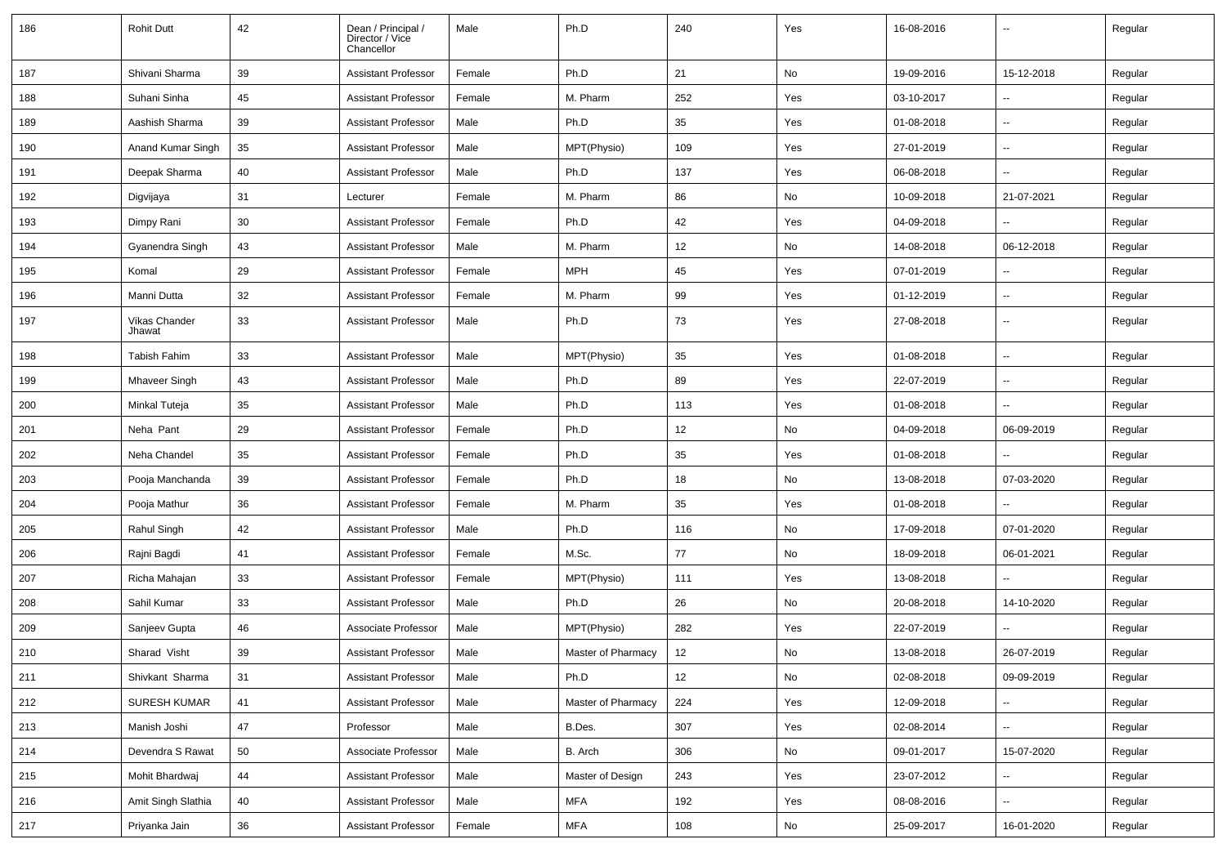| 186 | <b>Rohit Dutt</b>       | 42 | Dean / Principal /<br>Director / Vice<br>Chancellor | Male   | Ph.D               | 240 | Yes | 16-08-2016 | --                       | Regular |
|-----|-------------------------|----|-----------------------------------------------------|--------|--------------------|-----|-----|------------|--------------------------|---------|
| 187 | Shivani Sharma          | 39 | <b>Assistant Professor</b>                          | Female | Ph.D               | 21  | No  | 19-09-2016 | 15-12-2018               | Regular |
| 188 | Suhani Sinha            | 45 | Assistant Professor                                 | Female | M. Pharm           | 252 | Yes | 03-10-2017 | н.                       | Regular |
| 189 | Aashish Sharma          | 39 | <b>Assistant Professor</b>                          | Male   | Ph.D               | 35  | Yes | 01-08-2018 | $\overline{\phantom{a}}$ | Regular |
| 190 | Anand Kumar Singh       | 35 | <b>Assistant Professor</b>                          | Male   | MPT(Physio)        | 109 | Yes | 27-01-2019 | --                       | Regular |
| 191 | Deepak Sharma           | 40 | <b>Assistant Professor</b>                          | Male   | Ph.D               | 137 | Yes | 06-08-2018 |                          | Regular |
| 192 | Digvijaya               | 31 | Lecturer                                            | Female | M. Pharm           | 86  | No  | 10-09-2018 | 21-07-2021               | Regular |
| 193 | Dimpy Rani              | 30 | <b>Assistant Professor</b>                          | Female | Ph.D               | 42  | Yes | 04-09-2018 | $\overline{\phantom{a}}$ | Regular |
| 194 | Gyanendra Singh         | 43 | <b>Assistant Professor</b>                          | Male   | M. Pharm           | 12  | No  | 14-08-2018 | 06-12-2018               | Regular |
| 195 | Komal                   | 29 | <b>Assistant Professor</b>                          | Female | <b>MPH</b>         | 45  | Yes | 07-01-2019 | $\overline{\phantom{a}}$ | Regular |
| 196 | Manni Dutta             | 32 | <b>Assistant Professor</b>                          | Female | M. Pharm           | 99  | Yes | 01-12-2019 | $\overline{\phantom{a}}$ | Regular |
| 197 | Vikas Chander<br>Jhawat | 33 | <b>Assistant Professor</b>                          | Male   | Ph.D               | 73  | Yes | 27-08-2018 | --                       | Regular |
| 198 | <b>Tabish Fahim</b>     | 33 | <b>Assistant Professor</b>                          | Male   | MPT(Physio)        | 35  | Yes | 01-08-2018 | -−                       | Regular |
| 199 | <b>Mhaveer Singh</b>    | 43 | <b>Assistant Professor</b>                          | Male   | Ph.D               | 89  | Yes | 22-07-2019 | $\sim$                   | Regular |
| 200 | Minkal Tuteja           | 35 | <b>Assistant Professor</b>                          | Male   | Ph.D               | 113 | Yes | 01-08-2018 | ⊷.                       | Regular |
| 201 | Neha Pant               | 29 | <b>Assistant Professor</b>                          | Female | Ph.D               | 12  | No  | 04-09-2018 | 06-09-2019               | Regular |
| 202 | Neha Chandel            | 35 | <b>Assistant Professor</b>                          | Female | Ph.D               | 35  | Yes | 01-08-2018 | $\sim$                   | Regular |
| 203 | Pooja Manchanda         | 39 | <b>Assistant Professor</b>                          | Female | Ph.D               | 18  | No  | 13-08-2018 | 07-03-2020               | Regular |
| 204 | Pooja Mathur            | 36 | <b>Assistant Professor</b>                          | Female | M. Pharm           | 35  | Yes | 01-08-2018 |                          | Regular |
| 205 | Rahul Singh             | 42 | <b>Assistant Professor</b>                          | Male   | Ph.D               | 116 | No  | 17-09-2018 | 07-01-2020               | Regular |
| 206 | Rajni Bagdi             | 41 | <b>Assistant Professor</b>                          | Female | M.Sc.              | 77  | No  | 18-09-2018 | 06-01-2021               | Regular |
| 207 | Richa Mahajan           | 33 | <b>Assistant Professor</b>                          | Female | MPT(Physio)        | 111 | Yes | 13-08-2018 | $\sim$                   | Regular |
| 208 | Sahil Kumar             | 33 | <b>Assistant Professor</b>                          | Male   | Ph.D               | 26  | No  | 20-08-2018 | 14-10-2020               | Regular |
| 209 | Sanjeev Gupta           | 46 | Associate Professor                                 | Male   | MPT(Physio)        | 282 | Yes | 22-07-2019 |                          | Regular |
| 210 | Sharad Visht            | 39 | <b>Assistant Professor</b>                          | Male   | Master of Pharmacy | 12  | No  | 13-08-2018 | 26-07-2019               | Regular |
| 211 | Shivkant Sharma         | 31 | <b>Assistant Professor</b>                          | Male   | Ph.D               | 12  | No  | 02-08-2018 | 09-09-2019               | Regular |
| 212 | SURESH KUMAR            | 41 | <b>Assistant Professor</b>                          | Male   | Master of Pharmacy | 224 | Yes | 12-09-2018 | Щ,                       | Regular |
| 213 | Manish Joshi            | 47 | Professor                                           | Male   | B.Des.             | 307 | Yes | 02-08-2014 | ш.                       | Regular |
| 214 | Devendra S Rawat        | 50 | Associate Professor                                 | Male   | B. Arch            | 306 | No  | 09-01-2017 | 15-07-2020               | Regular |
| 215 | Mohit Bhardwaj          | 44 | <b>Assistant Professor</b>                          | Male   | Master of Design   | 243 | Yes | 23-07-2012 | $\overline{\phantom{a}}$ | Regular |
| 216 | Amit Singh Slathia      | 40 | <b>Assistant Professor</b>                          | Male   | <b>MFA</b>         | 192 | Yes | 08-08-2016 | ш.                       | Regular |
| 217 | Priyanka Jain           | 36 | <b>Assistant Professor</b>                          | Female | <b>MFA</b>         | 108 | No  | 25-09-2017 | 16-01-2020               | Regular |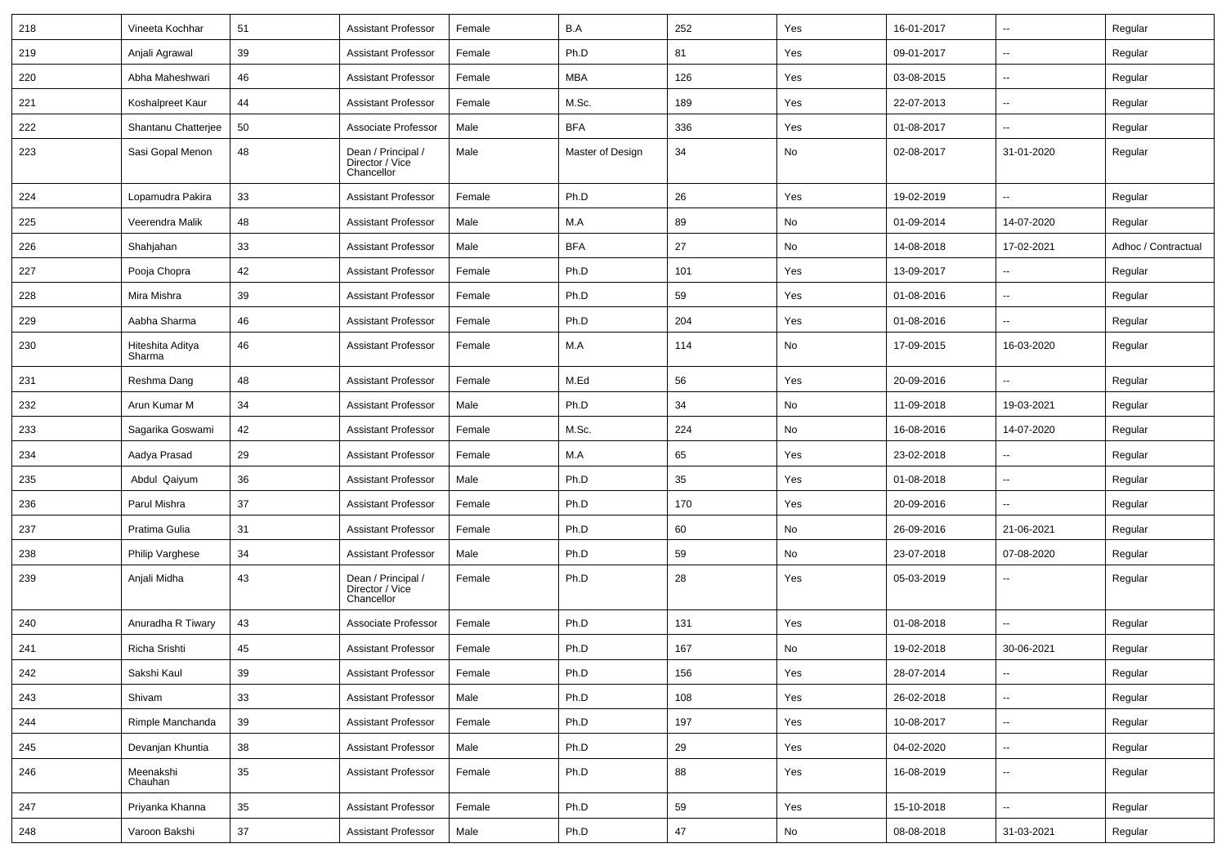| 218 | Vineeta Kochhar            | 51     | <b>Assistant Professor</b>                          | Female | B.A              | 252 | Yes | 16-01-2017 | $\overline{\phantom{a}}$ | Regular             |
|-----|----------------------------|--------|-----------------------------------------------------|--------|------------------|-----|-----|------------|--------------------------|---------------------|
| 219 | Anjali Agrawal             | 39     | <b>Assistant Professor</b>                          | Female | Ph.D             | 81  | Yes | 09-01-2017 | ⊷.                       | Regular             |
| 220 | Abha Maheshwari            | 46     | <b>Assistant Professor</b>                          | Female | MBA              | 126 | Yes | 03-08-2015 | $\overline{a}$           | Regular             |
| 221 | Koshalpreet Kaur           | 44     | <b>Assistant Professor</b>                          | Female | M.Sc.            | 189 | Yes | 22-07-2013 | --                       | Regular             |
| 222 | Shantanu Chatterjee        | 50     | Associate Professor                                 | Male   | <b>BFA</b>       | 336 | Yes | 01-08-2017 | --                       | Regular             |
| 223 | Sasi Gopal Menon           | 48     | Dean / Principal /<br>Director / Vice<br>Chancellor | Male   | Master of Design | 34  | No  | 02-08-2017 | 31-01-2020               | Regular             |
| 224 | Lopamudra Pakira           | 33     | <b>Assistant Professor</b>                          | Female | Ph.D             | 26  | Yes | 19-02-2019 | --                       | Regular             |
| 225 | Veerendra Malik            | 48     | <b>Assistant Professor</b>                          | Male   | M.A              | 89  | No  | 01-09-2014 | 14-07-2020               | Regular             |
| 226 | Shahjahan                  | 33     | <b>Assistant Professor</b>                          | Male   | <b>BFA</b>       | 27  | No  | 14-08-2018 | 17-02-2021               | Adhoc / Contractual |
| 227 | Pooja Chopra               | 42     | <b>Assistant Professor</b>                          | Female | Ph.D             | 101 | Yes | 13-09-2017 | --                       | Regular             |
| 228 | Mira Mishra                | 39     | <b>Assistant Professor</b>                          | Female | Ph.D             | 59  | Yes | 01-08-2016 | $\overline{a}$           | Regular             |
| 229 | Aabha Sharma               | 46     | <b>Assistant Professor</b>                          | Female | Ph.D             | 204 | Yes | 01-08-2016 |                          | Regular             |
| 230 | Hiteshita Aditya<br>Sharma | 46     | <b>Assistant Professor</b>                          | Female | M.A              | 114 | No  | 17-09-2015 | 16-03-2020               | Regular             |
| 231 | Reshma Dang                | 48     | <b>Assistant Professor</b>                          | Female | M.Ed             | 56  | Yes | 20-09-2016 |                          | Regular             |
| 232 | Arun Kumar M               | 34     | <b>Assistant Professor</b>                          | Male   | Ph.D             | 34  | No  | 11-09-2018 | 19-03-2021               | Regular             |
| 233 | Sagarika Goswami           | 42     | <b>Assistant Professor</b>                          | Female | M.Sc.            | 224 | No  | 16-08-2016 | 14-07-2020               | Regular             |
| 234 | Aadya Prasad               | 29     | <b>Assistant Professor</b>                          | Female | M.A              | 65  | Yes | 23-02-2018 | ⊷.                       | Regular             |
| 235 | Abdul Qaiyum               | 36     | <b>Assistant Professor</b>                          | Male   | Ph.D             | 35  | Yes | 01-08-2018 | --                       | Regular             |
| 236 | Parul Mishra               | 37     | <b>Assistant Professor</b>                          | Female | Ph.D             | 170 | Yes | 20-09-2016 | --                       | Regular             |
| 237 | Pratima Gulia              | 31     | <b>Assistant Professor</b>                          | Female | Ph.D             | 60  | No  | 26-09-2016 | 21-06-2021               | Regular             |
| 238 | Philip Varghese            | 34     | <b>Assistant Professor</b>                          | Male   | Ph.D             | 59  | No  | 23-07-2018 | 07-08-2020               | Regular             |
| 239 | Anjali Midha               | 43     | Dean / Principal /<br>Director / Vice<br>Chancellor | Female | Ph.D             | 28  | Yes | 05-03-2019 | --                       | Regular             |
| 240 | Anuradha R Tiwary          | 43     | Associate Professor                                 | Female | Ph.D             | 131 | Yes | 01-08-2018 |                          | Regular             |
| 241 | Richa Srishti              | 45     | <b>Assistant Professor</b>                          | Female | Ph.D             | 167 | No  | 19-02-2018 | 30-06-2021               | Regular             |
| 242 | Sakshi Kaul                | 39     | Assistant Professor                                 | Female | Ph.D             | 156 | Yes | 28-07-2014 | $\sim$                   | Regular             |
| 243 | Shivam                     | 33     | <b>Assistant Professor</b>                          | Male   | Ph.D             | 108 | Yes | 26-02-2018 | н.                       | Regular             |
| 244 | Rimple Manchanda           | 39     | <b>Assistant Professor</b>                          | Female | Ph.D             | 197 | Yes | 10-08-2017 | Ξ.                       | Regular             |
| 245 | Devanjan Khuntia           | 38     | <b>Assistant Professor</b>                          | Male   | Ph.D             | 29  | Yes | 04-02-2020 | $\sim$                   | Regular             |
| 246 | Meenakshi<br>Chauhan       | 35     | <b>Assistant Professor</b>                          | Female | Ph.D             | 88  | Yes | 16-08-2019 | Щ,                       | Regular             |
| 247 | Priyanka Khanna            | 35     | <b>Assistant Professor</b>                          | Female | Ph.D             | 59  | Yes | 15-10-2018 | ц.                       | Regular             |
| 248 | Varoon Bakshi              | $37\,$ | <b>Assistant Professor</b>                          | Male   | Ph.D             | 47  | No  | 08-08-2018 | 31-03-2021               | Regular             |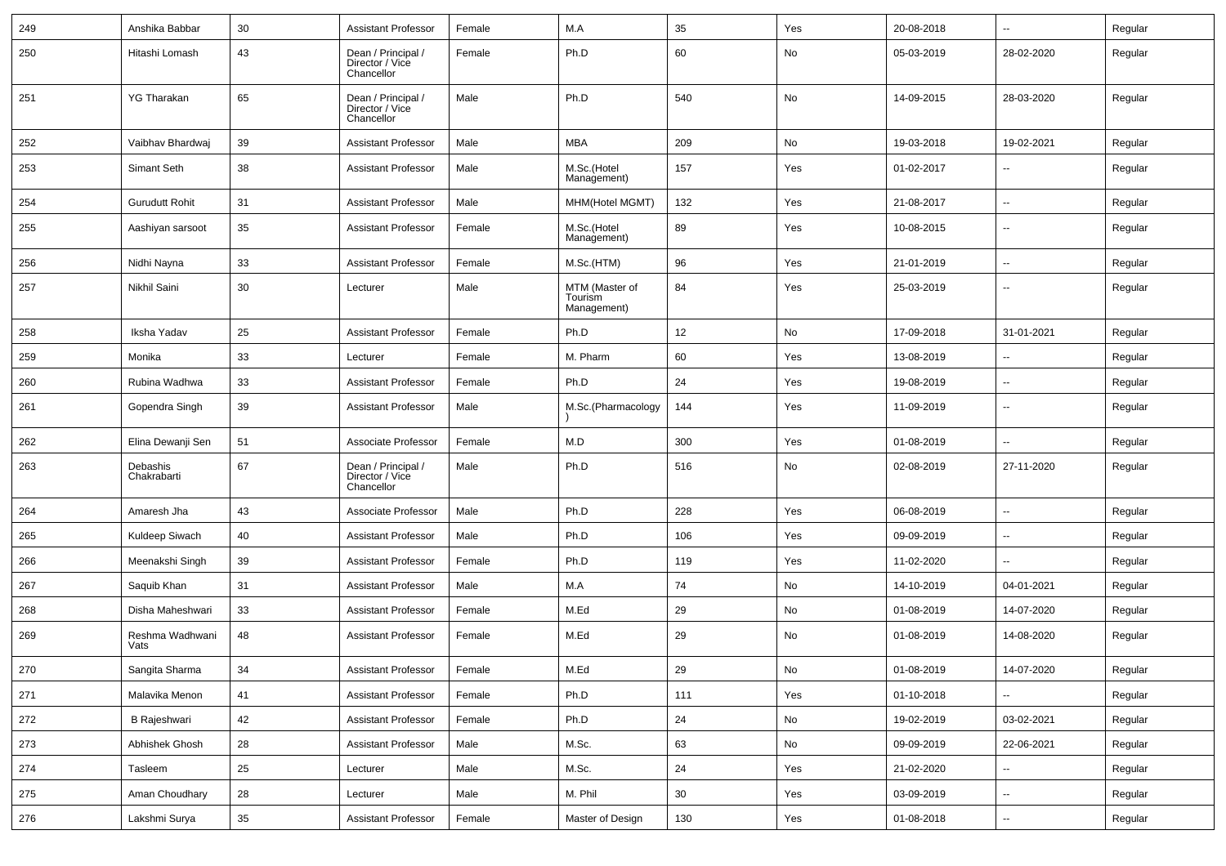| 249 | Anshika Babbar          | 30 | <b>Assistant Professor</b>                          | Female | M.A                                      | 35  | Yes | 20-08-2018 | Ξ.                       | Regular |
|-----|-------------------------|----|-----------------------------------------------------|--------|------------------------------------------|-----|-----|------------|--------------------------|---------|
| 250 | Hitashi Lomash          | 43 | Dean / Principal /<br>Director / Vice<br>Chancellor | Female | Ph.D                                     | 60  | No  | 05-03-2019 | 28-02-2020               | Regular |
| 251 | <b>YG Tharakan</b>      | 65 | Dean / Principal /<br>Director / Vice<br>Chancellor | Male   | Ph.D                                     | 540 | No  | 14-09-2015 | 28-03-2020               | Regular |
| 252 | Vaibhav Bhardwaj        | 39 | <b>Assistant Professor</b>                          | Male   | <b>MBA</b>                               | 209 | No  | 19-03-2018 | 19-02-2021               | Regular |
| 253 | Simant Seth             | 38 | <b>Assistant Professor</b>                          | Male   | M.Sc.(Hotel<br>Management)               | 157 | Yes | 01-02-2017 | ۰.                       | Regular |
| 254 | <b>Gurudutt Rohit</b>   | 31 | <b>Assistant Professor</b>                          | Male   | MHM(Hotel MGMT)                          | 132 | Yes | 21-08-2017 | --                       | Regular |
| 255 | Aashiyan sarsoot        | 35 | <b>Assistant Professor</b>                          | Female | M.Sc.(Hotel<br>Management)               | 89  | Yes | 10-08-2015 | $\overline{a}$           | Regular |
| 256 | Nidhi Nayna             | 33 | <b>Assistant Professor</b>                          | Female | M.Sc.(HTM)                               | 96  | Yes | 21-01-2019 | $\overline{a}$           | Regular |
| 257 | Nikhil Saini            | 30 | Lecturer                                            | Male   | MTM (Master of<br>Tourism<br>Management) | 84  | Yes | 25-03-2019 | ۰.                       | Regular |
| 258 | Iksha Yadav             | 25 | <b>Assistant Professor</b>                          | Female | Ph.D                                     | 12  | No  | 17-09-2018 | 31-01-2021               | Regular |
| 259 | Monika                  | 33 | Lecturer                                            | Female | M. Pharm                                 | 60  | Yes | 13-08-2019 | $\overline{\phantom{a}}$ | Regular |
| 260 | Rubina Wadhwa           | 33 | <b>Assistant Professor</b>                          | Female | Ph.D                                     | 24  | Yes | 19-08-2019 | $\overline{a}$           | Regular |
| 261 | Gopendra Singh          | 39 | <b>Assistant Professor</b>                          | Male   | M.Sc.(Pharmacology                       | 144 | Yes | 11-09-2019 | $\overline{a}$           | Regular |
| 262 | Elina Dewanji Sen       | 51 | Associate Professor                                 | Female | M.D                                      | 300 | Yes | 01-08-2019 | u.                       | Regular |
| 263 | Debashis<br>Chakrabarti | 67 | Dean / Principal /<br>Director / Vice<br>Chancellor | Male   | Ph.D                                     | 516 | No  | 02-08-2019 | 27-11-2020               | Regular |
| 264 | Amaresh Jha             | 43 | Associate Professor                                 | Male   | Ph.D                                     | 228 | Yes | 06-08-2019 | u.                       | Regular |
| 265 | Kuldeep Siwach          | 40 | <b>Assistant Professor</b>                          | Male   | Ph.D                                     | 106 | Yes | 09-09-2019 | --                       | Regular |
| 266 | Meenakshi Singh         | 39 | <b>Assistant Professor</b>                          | Female | Ph.D                                     | 119 | Yes | 11-02-2020 | u.                       | Regular |
| 267 | Saquib Khan             | 31 | <b>Assistant Professor</b>                          | Male   | M.A                                      | 74  | No  | 14-10-2019 | 04-01-2021               | Regular |
| 268 | Disha Maheshwari        | 33 | <b>Assistant Professor</b>                          | Female | M.Ed                                     | 29  | No  | 01-08-2019 | 14-07-2020               | Regular |
| 269 | Reshma Wadhwani<br>Vats | 48 | <b>Assistant Professor</b>                          | Female | M.Ed                                     | 29  | No  | 01-08-2019 | 14-08-2020               | Regular |
| 270 | Sangita Sharma          | 34 | Assistant Professor                                 | Female | M.Ed                                     | 29  | No  | 01-08-2019 | 14-07-2020               | Regular |
| 271 | Malavika Menon          | 41 | <b>Assistant Professor</b>                          | Female | Ph.D                                     | 111 | Yes | 01-10-2018 | Ξ.                       | Regular |
| 272 | B Rajeshwari            | 42 | <b>Assistant Professor</b>                          | Female | Ph.D                                     | 24  | No  | 19-02-2019 | 03-02-2021               | Regular |
| 273 | Abhishek Ghosh          | 28 | Assistant Professor                                 | Male   | M.Sc.                                    | 63  | No  | 09-09-2019 | 22-06-2021               | Regular |
| 274 | Tasleem                 | 25 | Lecturer                                            | Male   | M.Sc.                                    | 24  | Yes | 21-02-2020 | Ξ.                       | Regular |
| 275 | Aman Choudhary          | 28 | Lecturer                                            | Male   | M. Phil                                  | 30  | Yes | 03-09-2019 | --                       | Regular |
| 276 | Lakshmi Surya           | 35 | <b>Assistant Professor</b>                          | Female | Master of Design                         | 130 | Yes | 01-08-2018 | ₩,                       | Regular |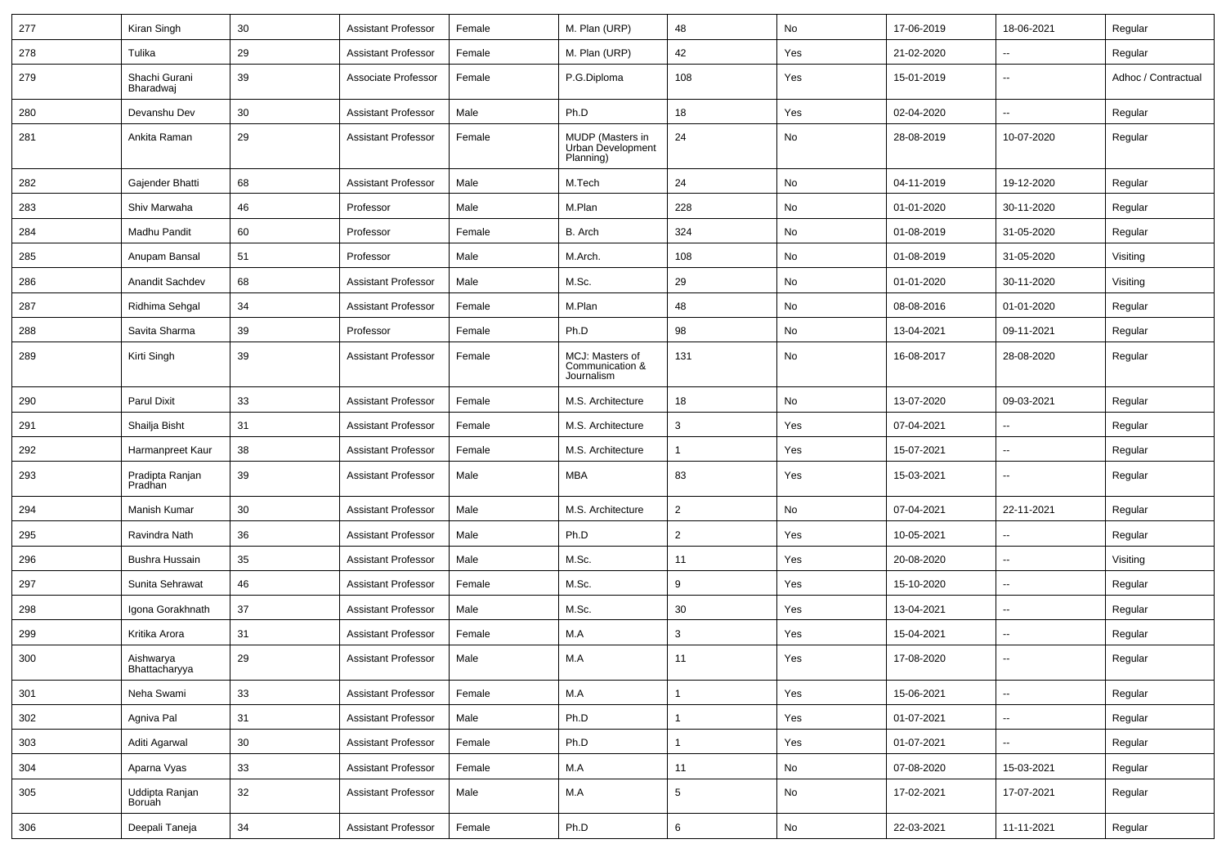| 277 | Kiran Singh                | 30     | <b>Assistant Professor</b> | Female | M. Plan (URP)                                      | 48              | No  | 17-06-2019 | 18-06-2021               | Regular             |
|-----|----------------------------|--------|----------------------------|--------|----------------------------------------------------|-----------------|-----|------------|--------------------------|---------------------|
| 278 | Tulika                     | 29     | <b>Assistant Professor</b> | Female | M. Plan (URP)                                      | 42              | Yes | 21-02-2020 | $\overline{\phantom{a}}$ | Regular             |
| 279 | Shachi Gurani<br>Bharadwaj | 39     | Associate Professor        | Female | P.G.Diploma                                        | 108             | Yes | 15-01-2019 | $\overline{\phantom{a}}$ | Adhoc / Contractual |
| 280 | Devanshu Dev               | 30     | <b>Assistant Professor</b> | Male   | Ph.D                                               | 18              | Yes | 02-04-2020 | $\overline{\phantom{a}}$ | Regular             |
| 281 | Ankita Raman               | 29     | <b>Assistant Professor</b> | Female | MUDP (Masters in<br>Urban Development<br>Planning) | 24              | No  | 28-08-2019 | 10-07-2020               | Regular             |
| 282 | Gajender Bhatti            | 68     | <b>Assistant Professor</b> | Male   | M.Tech                                             | 24              | No  | 04-11-2019 | 19-12-2020               | Regular             |
| 283 | Shiv Marwaha               | 46     | Professor                  | Male   | M.Plan                                             | 228             | No  | 01-01-2020 | 30-11-2020               | Regular             |
| 284 | Madhu Pandit               | 60     | Professor                  | Female | B. Arch                                            | 324             | No  | 01-08-2019 | 31-05-2020               | Regular             |
| 285 | Anupam Bansal              | 51     | Professor                  | Male   | M.Arch.                                            | 108             | No  | 01-08-2019 | 31-05-2020               | Visiting            |
| 286 | Anandit Sachdev            | 68     | <b>Assistant Professor</b> | Male   | M.Sc.                                              | 29              | No  | 01-01-2020 | 30-11-2020               | Visiting            |
| 287 | Ridhima Sehgal             | 34     | <b>Assistant Professor</b> | Female | M.Plan                                             | 48              | No  | 08-08-2016 | 01-01-2020               | Regular             |
| 288 | Savita Sharma              | 39     | Professor                  | Female | Ph.D                                               | 98              | No  | 13-04-2021 | 09-11-2021               | Regular             |
| 289 | Kirti Singh                | 39     | <b>Assistant Professor</b> | Female | MCJ: Masters of<br>Communication &<br>Journalism   | 131             | No  | 16-08-2017 | 28-08-2020               | Regular             |
| 290 | <b>Parul Dixit</b>         | 33     | <b>Assistant Professor</b> | Female | M.S. Architecture                                  | 18              | No  | 13-07-2020 | 09-03-2021               | Regular             |
| 291 | Shailja Bisht              | 31     | <b>Assistant Professor</b> | Female | M.S. Architecture                                  | 3               | Yes | 07-04-2021 | $\overline{\phantom{a}}$ | Regular             |
| 292 | Harmanpreet Kaur           | 38     | <b>Assistant Professor</b> | Female | M.S. Architecture                                  | 1               | Yes | 15-07-2021 | $\overline{\phantom{a}}$ | Regular             |
| 293 | Pradipta Ranjan<br>Pradhan | 39     | <b>Assistant Professor</b> | Male   | MBA                                                | 83              | Yes | 15-03-2021 | $\mathbf{u}$             | Regular             |
| 294 | Manish Kumar               | 30     | <b>Assistant Professor</b> | Male   | M.S. Architecture                                  | $\overline{2}$  | No  | 07-04-2021 | 22-11-2021               | Regular             |
| 295 | Ravindra Nath              | 36     | <b>Assistant Professor</b> | Male   | Ph.D                                               | 2               | Yes | 10-05-2021 | $\overline{\phantom{a}}$ | Regular             |
| 296 | Bushra Hussain             | 35     | <b>Assistant Professor</b> | Male   | M.Sc.                                              | 11              | Yes | 20-08-2020 | $\overline{\phantom{a}}$ | Visiting            |
| 297 | Sunita Sehrawat            | 46     | <b>Assistant Professor</b> | Female | M.Sc.                                              | 9               | Yes | 15-10-2020 | $\overline{\phantom{a}}$ | Regular             |
| 298 | Igona Gorakhnath           | 37     | <b>Assistant Professor</b> | Male   | M.Sc.                                              | 30              | Yes | 13-04-2021 | $\overline{\phantom{a}}$ | Regular             |
| 299 | Kritika Arora              | 31     | <b>Assistant Professor</b> | Female | M.A                                                | 3               | Yes | 15-04-2021 | $\overline{\phantom{a}}$ | Regular             |
| 300 | Aishwarya<br>Bhattacharyya | 29     | <b>Assistant Professor</b> | Male   | M.A                                                | 11              | Yes | 17-08-2020 | $\mathbf{u}$             | Regular             |
| 301 | Neha Swami                 | 33     | <b>Assistant Professor</b> | Female | M.A                                                | $\mathbf{1}$    | Yes | 15-06-2021 | $\overline{\phantom{a}}$ | Regular             |
| 302 | Agniva Pal                 | 31     | <b>Assistant Professor</b> | Male   | Ph.D                                               | $\overline{1}$  | Yes | 01-07-2021 | $\overline{\phantom{a}}$ | Regular             |
| 303 | Aditi Agarwal              | 30     | <b>Assistant Professor</b> | Female | Ph.D                                               | $\mathbf{1}$    | Yes | 01-07-2021 | $\sim$                   | Regular             |
| 304 | Aparna Vyas                | $33\,$ | <b>Assistant Professor</b> | Female | M.A                                                | 11              | No  | 07-08-2020 | 15-03-2021               | Regular             |
| 305 | Uddipta Ranjan<br>Boruah   | 32     | <b>Assistant Professor</b> | Male   | M.A                                                | $5\phantom{.0}$ | No  | 17-02-2021 | 17-07-2021               | Regular             |
| 306 | Deepali Taneja             | 34     | <b>Assistant Professor</b> | Female | Ph.D                                               | 6               | No  | 22-03-2021 | 11-11-2021               | Regular             |